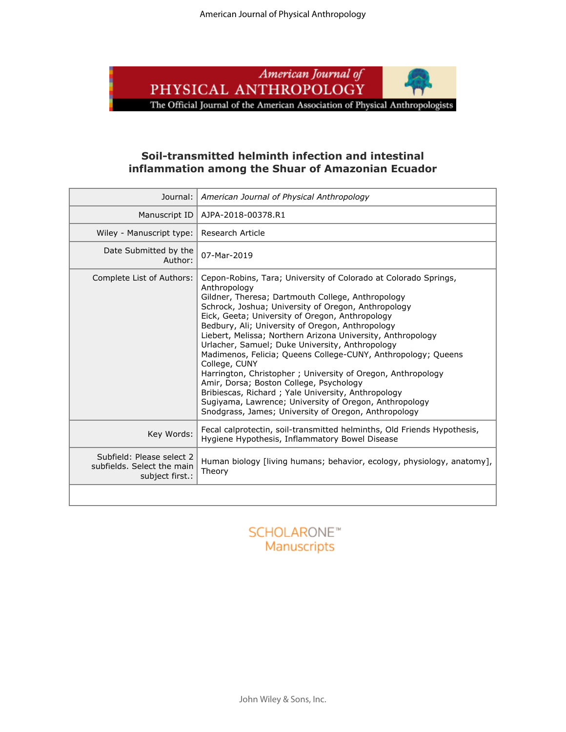

## **Soil-transmitted helminth infection and intestinal inflammation among the Shuar of Amazonian Ecuador**

| Journal:                                                                   | American Journal of Physical Anthropology                                                                                                                                                                                                                                                                                                                                                                                                                                                                                                                                                                                                                                                                                                                                                |
|----------------------------------------------------------------------------|------------------------------------------------------------------------------------------------------------------------------------------------------------------------------------------------------------------------------------------------------------------------------------------------------------------------------------------------------------------------------------------------------------------------------------------------------------------------------------------------------------------------------------------------------------------------------------------------------------------------------------------------------------------------------------------------------------------------------------------------------------------------------------------|
| Manuscript ID                                                              | AJPA-2018-00378.R1                                                                                                                                                                                                                                                                                                                                                                                                                                                                                                                                                                                                                                                                                                                                                                       |
| Wiley - Manuscript type:                                                   | Research Article                                                                                                                                                                                                                                                                                                                                                                                                                                                                                                                                                                                                                                                                                                                                                                         |
| Date Submitted by the<br>Author:                                           | 07-Mar-2019                                                                                                                                                                                                                                                                                                                                                                                                                                                                                                                                                                                                                                                                                                                                                                              |
| Complete List of Authors:                                                  | Cepon-Robins, Tara; University of Colorado at Colorado Springs,<br>Anthropology<br>Gildner, Theresa; Dartmouth College, Anthropology<br>Schrock, Joshua; University of Oregon, Anthropology<br>Eick, Geeta; University of Oregon, Anthropology<br>Bedbury, Ali; University of Oregon, Anthropology<br>Liebert, Melissa; Northern Arizona University, Anthropology<br>Urlacher, Samuel; Duke University, Anthropology<br>Madimenos, Felicia; Queens College-CUNY, Anthropology; Queens<br>College, CUNY<br>Harrington, Christopher; University of Oregon, Anthropology<br>Amir, Dorsa; Boston College, Psychology<br>Bribiescas, Richard; Yale University, Anthropology<br>Sugiyama, Lawrence; University of Oregon, Anthropology<br>Snodgrass, James; University of Oregon, Anthropology |
| Key Words:                                                                 | Fecal calprotectin, soil-transmitted helminths, Old Friends Hypothesis,<br>Hygiene Hypothesis, Inflammatory Bowel Disease                                                                                                                                                                                                                                                                                                                                                                                                                                                                                                                                                                                                                                                                |
| Subfield: Please select 2<br>subfields. Select the main<br>subject first.: | Human biology [living humans; behavior, ecology, physiology, anatomy],<br>Theory                                                                                                                                                                                                                                                                                                                                                                                                                                                                                                                                                                                                                                                                                                         |
|                                                                            |                                                                                                                                                                                                                                                                                                                                                                                                                                                                                                                                                                                                                                                                                                                                                                                          |

# **SCHOLARONE™** Manuscripts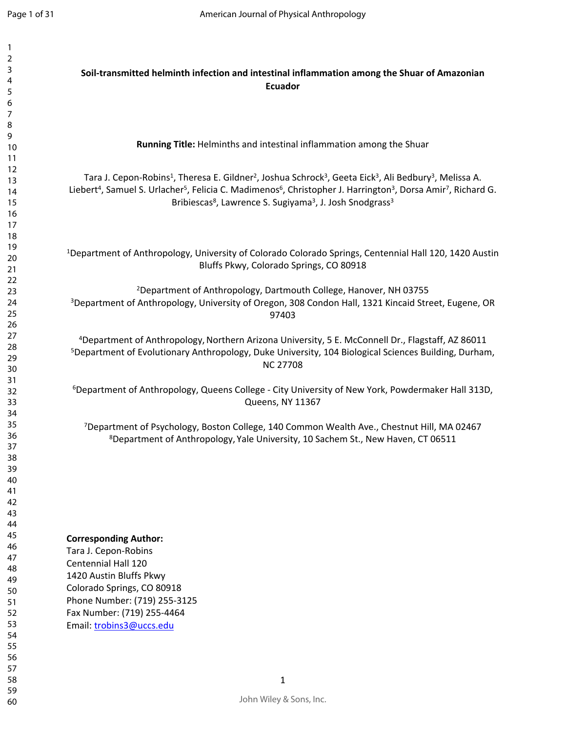| $\overline{2}$ |                                                                                                                                                                            |
|----------------|----------------------------------------------------------------------------------------------------------------------------------------------------------------------------|
| 3              | Soil-transmitted helminth infection and intestinal inflammation among the Shuar of Amazonian                                                                               |
| 4              |                                                                                                                                                                            |
| 5              | <b>Ecuador</b>                                                                                                                                                             |
| 6              |                                                                                                                                                                            |
| 7              |                                                                                                                                                                            |
| 8              |                                                                                                                                                                            |
|                |                                                                                                                                                                            |
| 9              | Running Title: Helminths and intestinal inflammation among the Shuar                                                                                                       |
| 10             |                                                                                                                                                                            |
| 11             |                                                                                                                                                                            |
| 12             | Tara J. Cepon-Robins <sup>1</sup> , Theresa E. Gildner <sup>2</sup> , Joshua Schrock <sup>3</sup> , Geeta Eick <sup>3</sup> , Ali Bedbury <sup>3</sup> , Melissa A.        |
| 13             |                                                                                                                                                                            |
| 14             | Liebert <sup>4</sup> , Samuel S. Urlacher <sup>5</sup> , Felicia C. Madimenos <sup>6</sup> , Christopher J. Harrington <sup>3</sup> , Dorsa Amir <sup>7</sup> , Richard G. |
| 15             | Bribiescas <sup>8</sup> , Lawrence S. Sugiyama <sup>3</sup> , J. Josh Snodgrass <sup>3</sup>                                                                               |
| 16             |                                                                                                                                                                            |
| 17             |                                                                                                                                                                            |
| 18             |                                                                                                                                                                            |
| 19             |                                                                                                                                                                            |
| 20             | <sup>1</sup> Department of Anthropology, University of Colorado Colorado Springs, Centennial Hall 120, 1420 Austin                                                         |
| 21             | Bluffs Pkwy, Colorado Springs, CO 80918                                                                                                                                    |
| 22             |                                                                                                                                                                            |
| 23             | <sup>2</sup> Department of Anthropology, Dartmouth College, Hanover, NH 03755                                                                                              |
|                |                                                                                                                                                                            |
| 24             | <sup>3</sup> Department of Anthropology, University of Oregon, 308 Condon Hall, 1321 Kincaid Street, Eugene, OR                                                            |
| 25             | 97403                                                                                                                                                                      |
| 26             |                                                                                                                                                                            |
| 27             | <sup>4</sup> Department of Anthropology, Northern Arizona University, 5 E. McConnell Dr., Flagstaff, AZ 86011                                                              |
| 28             | <sup>5</sup> Department of Evolutionary Anthropology, Duke University, 104 Biological Sciences Building, Durham,                                                           |
| 29             |                                                                                                                                                                            |
| 30             | <b>NC 27708</b>                                                                                                                                                            |
| 31             |                                                                                                                                                                            |
| 32             | <sup>6</sup> Department of Anthropology, Queens College - City University of New York, Powdermaker Hall 313D,                                                              |
| 33             | Queens, NY 11367                                                                                                                                                           |
| 34             |                                                                                                                                                                            |
| 35             |                                                                                                                                                                            |
| 36             | <sup>7</sup> Department of Psychology, Boston College, 140 Common Wealth Ave., Chestnut Hill, MA 02467                                                                     |
|                | <sup>8</sup> Department of Anthropology, Yale University, 10 Sachem St., New Haven, CT 06511                                                                               |
| 37             |                                                                                                                                                                            |
| 38             |                                                                                                                                                                            |
| 39             |                                                                                                                                                                            |
| 40             |                                                                                                                                                                            |
| 41             |                                                                                                                                                                            |
| 42             |                                                                                                                                                                            |
| 43             |                                                                                                                                                                            |
| 44             |                                                                                                                                                                            |
| 45             | <b>Corresponding Author:</b>                                                                                                                                               |
| 46             |                                                                                                                                                                            |
| 47             | Tara J. Cepon-Robins                                                                                                                                                       |
| 48             | <b>Centennial Hall 120</b>                                                                                                                                                 |
| 49             | 1420 Austin Bluffs Pkwy                                                                                                                                                    |
|                | Colorado Springs, CO 80918                                                                                                                                                 |
| 50             | Phone Number: (719) 255-3125                                                                                                                                               |
| 51             |                                                                                                                                                                            |
| 52             | Fax Number: (719) 255-4464                                                                                                                                                 |
| 53             | Email: trobins3@uccs.edu                                                                                                                                                   |
| 54             |                                                                                                                                                                            |
| 55             |                                                                                                                                                                            |
| 56             |                                                                                                                                                                            |
| 57             |                                                                                                                                                                            |
| 58             | $\mathbf{1}$                                                                                                                                                               |
| 59             |                                                                                                                                                                            |
| 60             | John Wiley & Sons, Inc.                                                                                                                                                    |
|                |                                                                                                                                                                            |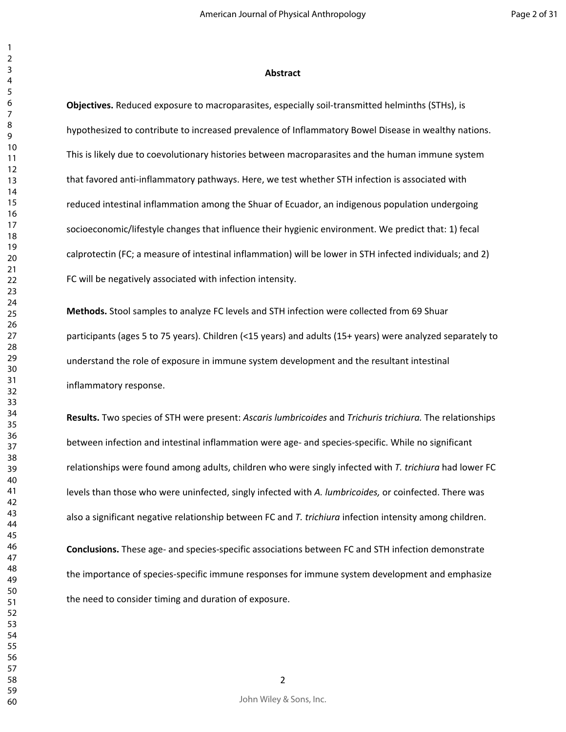#### **Abstract**

**Objectives.** Reduced exposure to macroparasites, especially soil-transmitted helminths (STHs), is hypothesized to contribute to increased prevalence of Inflammatory Bowel Disease in wealthy nations. This is likely due to coevolutionary histories between macroparasites and the human immune system that favored anti-inflammatory pathways. Here, we test whether STH infection is associated with reduced intestinal inflammation among the Shuar of Ecuador, an indigenous population undergoing socioeconomic/lifestyle changes that influence their hygienic environment. We predict that: 1) fecal calprotectin (FC; a measure of intestinal inflammation) will be lower in STH infected individuals; and 2) FC will be negatively associated with infection intensity.

**Methods.** Stool samples to analyze FC levels and STH infection were collected from 69 Shuar participants (ages 5 to 75 years). Children (<15 years) and adults (15+ years) were analyzed separately to understand the role of exposure in immune system development and the resultant intestinal inflammatory response.

**Results.** Two species of STH were present: *Ascaris lumbricoides* and *Trichuris trichiura.* The relationships between infection and intestinal inflammation were age- and species-specific. While no significant relationships were found among adults, children who were singly infected with *T. trichiura* had lower FC levels than those who were uninfected, singly infected with *A. lumbricoides,* or coinfected. There was also a significant negative relationship between FC and *T. trichiura* infection intensity among children.

**Conclusions.** These age- and species-specific associations between FC and STH infection demonstrate the importance of species-specific immune responses for immune system development and emphasize the need to consider timing and duration of exposure.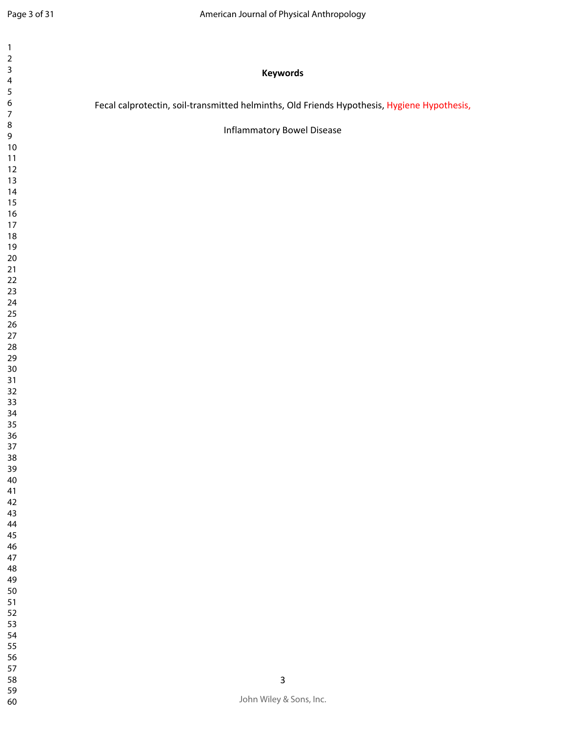| $\sqrt{2}$<br>$\overline{\mathbf{3}}$<br>Keywords<br>$\overline{\mathbf{4}}$<br>$\sqrt{5}$<br>$\boldsymbol{6}$<br>Fecal calprotectin, soil-transmitted helminths, Old Friends Hypothesis, Hygiene Hypothesis,<br>$\boldsymbol{7}$<br>$\bf 8$<br><b>Inflammatory Bowel Disease</b><br>$\mathsf 9$<br>$10\,$<br>11<br>$12\,$<br>$13$<br>14<br>$15\,$<br>$16\,$<br>$17\,$<br>$18\,$<br>19<br>$20\,$<br>$21$<br>$22\,$<br>$23\,$<br>24<br>$25\,$<br>$26\,$<br>$27\,$<br>${\bf 28}$<br>29<br>$30\,$<br>$31$<br>$32\,$<br>33<br>34<br>35 |  |
|------------------------------------------------------------------------------------------------------------------------------------------------------------------------------------------------------------------------------------------------------------------------------------------------------------------------------------------------------------------------------------------------------------------------------------------------------------------------------------------------------------------------------------|--|
|                                                                                                                                                                                                                                                                                                                                                                                                                                                                                                                                    |  |
|                                                                                                                                                                                                                                                                                                                                                                                                                                                                                                                                    |  |
|                                                                                                                                                                                                                                                                                                                                                                                                                                                                                                                                    |  |
|                                                                                                                                                                                                                                                                                                                                                                                                                                                                                                                                    |  |
|                                                                                                                                                                                                                                                                                                                                                                                                                                                                                                                                    |  |
|                                                                                                                                                                                                                                                                                                                                                                                                                                                                                                                                    |  |
|                                                                                                                                                                                                                                                                                                                                                                                                                                                                                                                                    |  |
|                                                                                                                                                                                                                                                                                                                                                                                                                                                                                                                                    |  |
|                                                                                                                                                                                                                                                                                                                                                                                                                                                                                                                                    |  |
|                                                                                                                                                                                                                                                                                                                                                                                                                                                                                                                                    |  |
|                                                                                                                                                                                                                                                                                                                                                                                                                                                                                                                                    |  |
|                                                                                                                                                                                                                                                                                                                                                                                                                                                                                                                                    |  |
|                                                                                                                                                                                                                                                                                                                                                                                                                                                                                                                                    |  |
|                                                                                                                                                                                                                                                                                                                                                                                                                                                                                                                                    |  |
|                                                                                                                                                                                                                                                                                                                                                                                                                                                                                                                                    |  |
|                                                                                                                                                                                                                                                                                                                                                                                                                                                                                                                                    |  |
|                                                                                                                                                                                                                                                                                                                                                                                                                                                                                                                                    |  |
|                                                                                                                                                                                                                                                                                                                                                                                                                                                                                                                                    |  |
|                                                                                                                                                                                                                                                                                                                                                                                                                                                                                                                                    |  |
|                                                                                                                                                                                                                                                                                                                                                                                                                                                                                                                                    |  |
|                                                                                                                                                                                                                                                                                                                                                                                                                                                                                                                                    |  |
|                                                                                                                                                                                                                                                                                                                                                                                                                                                                                                                                    |  |
|                                                                                                                                                                                                                                                                                                                                                                                                                                                                                                                                    |  |
|                                                                                                                                                                                                                                                                                                                                                                                                                                                                                                                                    |  |
|                                                                                                                                                                                                                                                                                                                                                                                                                                                                                                                                    |  |
|                                                                                                                                                                                                                                                                                                                                                                                                                                                                                                                                    |  |
|                                                                                                                                                                                                                                                                                                                                                                                                                                                                                                                                    |  |
|                                                                                                                                                                                                                                                                                                                                                                                                                                                                                                                                    |  |
|                                                                                                                                                                                                                                                                                                                                                                                                                                                                                                                                    |  |
| 36                                                                                                                                                                                                                                                                                                                                                                                                                                                                                                                                 |  |
| 37                                                                                                                                                                                                                                                                                                                                                                                                                                                                                                                                 |  |
| $38\,$<br>39                                                                                                                                                                                                                                                                                                                                                                                                                                                                                                                       |  |
| $40\,$                                                                                                                                                                                                                                                                                                                                                                                                                                                                                                                             |  |
| $41\,$                                                                                                                                                                                                                                                                                                                                                                                                                                                                                                                             |  |
| 42                                                                                                                                                                                                                                                                                                                                                                                                                                                                                                                                 |  |
| 43                                                                                                                                                                                                                                                                                                                                                                                                                                                                                                                                 |  |
| 44<br>45                                                                                                                                                                                                                                                                                                                                                                                                                                                                                                                           |  |
| $46\,$                                                                                                                                                                                                                                                                                                                                                                                                                                                                                                                             |  |
| $47\,$                                                                                                                                                                                                                                                                                                                                                                                                                                                                                                                             |  |
| 48                                                                                                                                                                                                                                                                                                                                                                                                                                                                                                                                 |  |
| 49                                                                                                                                                                                                                                                                                                                                                                                                                                                                                                                                 |  |
| 50                                                                                                                                                                                                                                                                                                                                                                                                                                                                                                                                 |  |
| $51\,$                                                                                                                                                                                                                                                                                                                                                                                                                                                                                                                             |  |
| 52<br>53                                                                                                                                                                                                                                                                                                                                                                                                                                                                                                                           |  |
| 54                                                                                                                                                                                                                                                                                                                                                                                                                                                                                                                                 |  |
| 55                                                                                                                                                                                                                                                                                                                                                                                                                                                                                                                                 |  |
| 56                                                                                                                                                                                                                                                                                                                                                                                                                                                                                                                                 |  |
|                                                                                                                                                                                                                                                                                                                                                                                                                                                                                                                                    |  |
| 57                                                                                                                                                                                                                                                                                                                                                                                                                                                                                                                                 |  |
| 58<br>$\mathsf 3$<br>59                                                                                                                                                                                                                                                                                                                                                                                                                                                                                                            |  |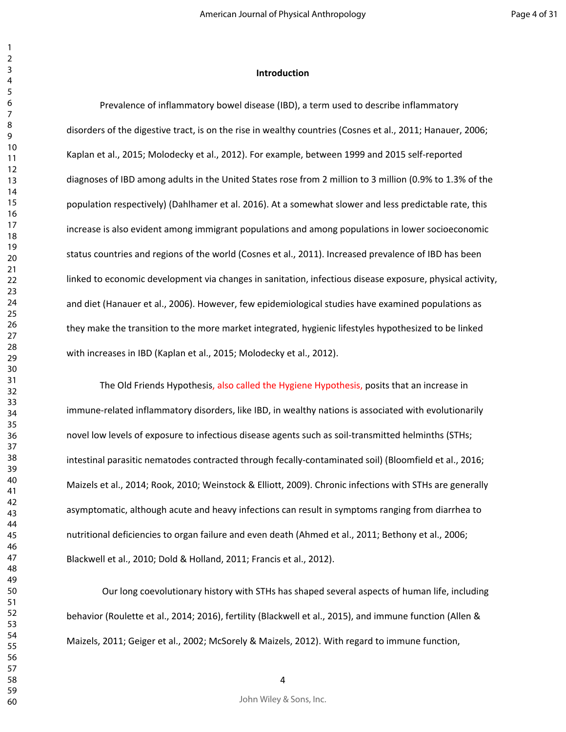#### **Introduction**

Prevalence of inflammatory bowel disease (IBD), a term used to describe inflammatory disorders of the digestive tract, is on the rise in wealthy countries (Cosnes et al., 2011; Hanauer, 2006; Kaplan et al., 2015; Molodecky et al., 2012). For example, between 1999 and 2015 self-reported diagnoses of IBD among adults in the United States rose from 2 million to 3 million (0.9% to 1.3% of the population respectively) (Dahlhamer et al. 2016). At a somewhat slower and less predictable rate, this increase is also evident among immigrant populations and among populations in lower socioeconomic status countries and regions of the world (Cosnes et al., 2011). Increased prevalence of IBD has been linked to economic development via changes in sanitation, infectious disease exposure, physical activity, and diet (Hanauer et al., 2006). However, few epidemiological studies have examined populations as they make the transition to the more market integrated, hygienic lifestyles hypothesized to be linked with increases in IBD (Kaplan et al., 2015; Molodecky et al., 2012).

The Old Friends Hypothesis, also called the Hygiene Hypothesis, posits that an increase in immune-related inflammatory disorders, like IBD, in wealthy nations is associated with evolutionarily novel low levels of exposure to infectious disease agents such as soil-transmitted helminths (STHs; intestinal parasitic nematodes contracted through fecally-contaminated soil) (Bloomfield et al., 2016; Maizels et al., 2014; Rook, 2010; Weinstock & Elliott, 2009). Chronic infections with STHs are generally asymptomatic, although acute and heavy infections can result in symptoms ranging from diarrhea to nutritional deficiencies to organ failure and even death (Ahmed et al., 2011; Bethony et al., 2006; Blackwell et al., 2010; Dold & Holland, 2011; Francis et al., 2012).

 Our long coevolutionary history with STHs has shaped several aspects of human life, including behavior (Roulette et al., 2014; 2016), fertility (Blackwell et al., 2015), and immune function (Allen & Maizels, 2011; Geiger et al., 2002; McSorely & Maizels, 2012). With regard to immune function,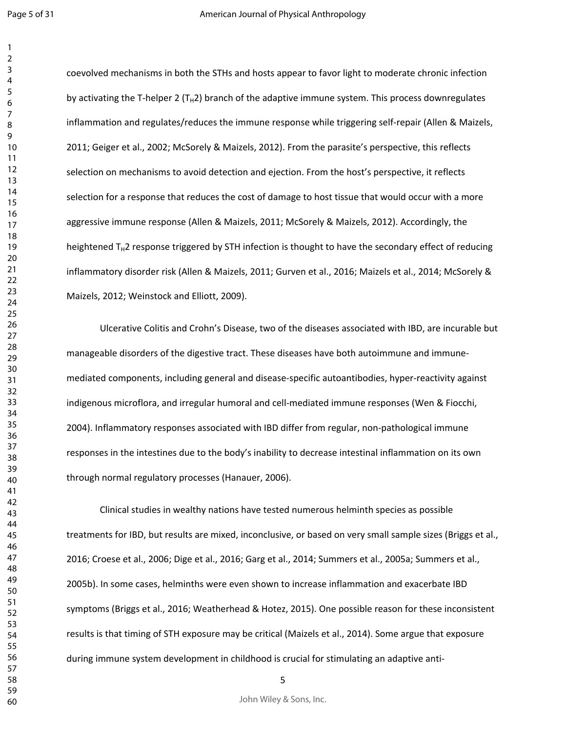coevolved mechanisms in both the STHs and hosts appear to favor light to moderate chronic infection by activating the T-helper 2 ( $T_H2$ ) branch of the adaptive immune system. This process downregulates inflammation and regulates/reduces the immune response while triggering self-repair (Allen & Maizels, 2011; Geiger et al., 2002; McSorely & Maizels, 2012). From the parasite's perspective, this reflects selection on mechanisms to avoid detection and ejection. From the host's perspective, it reflects selection for a response that reduces the cost of damage to host tissue that would occur with a more aggressive immune response (Allen & Maizels, 2011; McSorely & Maizels, 2012). Accordingly, the heightened  $T_H2$  response triggered by STH infection is thought to have the secondary effect of reducing inflammatory disorder risk (Allen & Maizels, 2011; Gurven et al., 2016; Maizels et al., 2014; McSorely & Maizels, 2012; Weinstock and Elliott, 2009).

Ulcerative Colitis and Crohn's Disease, two of the diseases associated with IBD, are incurable but manageable disorders of the digestive tract. These diseases have both autoimmune and immunemediated components, including general and disease-specific autoantibodies, hyper-reactivity against indigenous microflora, and irregular humoral and cell-mediated immune responses (Wen & Fiocchi, 2004). Inflammatory responses associated with IBD differ from regular, non-pathological immune responses in the intestines due to the body's inability to decrease intestinal inflammation on its own through normal regulatory processes (Hanauer, 2006).

Clinical studies in wealthy nations have tested numerous helminth species as possible treatments for IBD, but results are mixed, inconclusive, or based on very small sample sizes (Briggs et al., 2016; Croese et al., 2006; Dige et al., 2016; Garg et al., 2014; Summers et al., 2005a; Summers et al., 2005b). In some cases, helminths were even shown to increase inflammation and exacerbate IBD symptoms (Briggs et al., 2016; Weatherhead & Hotez, 2015). One possible reason for these inconsistent results is that timing of STH exposure may be critical (Maizels et al., 2014). Some argue that exposure during immune system development in childhood is crucial for stimulating an adaptive anti-

John Wiley & Sons, Inc.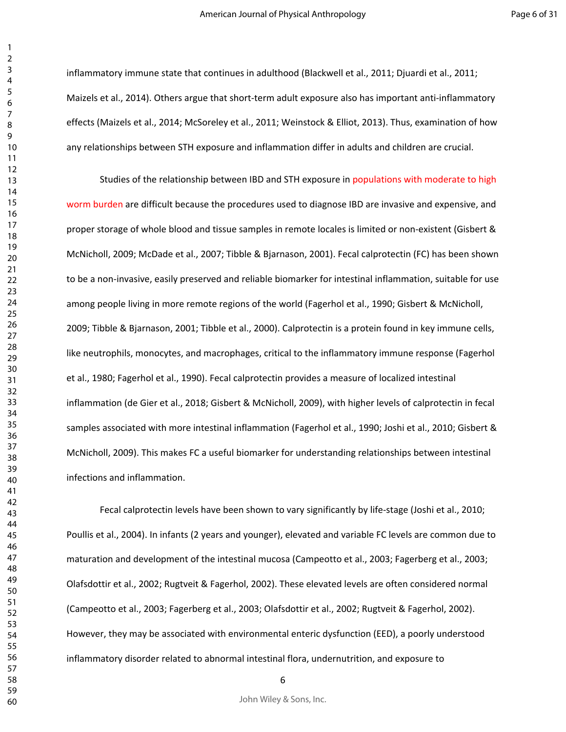inflammatory immune state that continues in adulthood (Blackwell et al., 2011; Djuardi et al., 2011; Maizels et al., 2014). Others argue that short-term adult exposure also has important anti-inflammatory effects (Maizels et al., 2014; McSoreley et al., 2011; Weinstock & Elliot, 2013). Thus, examination of how any relationships between STH exposure and inflammation differ in adults and children are crucial.

Studies of the relationship between IBD and STH exposure in populations with moderate to high worm burden are difficult because the procedures used to diagnose IBD are invasive and expensive, and proper storage of whole blood and tissue samples in remote locales is limited or non-existent (Gisbert & McNicholl, 2009; McDade et al., 2007; Tibble & Bjarnason, 2001). Fecal calprotectin (FC) has been shown to be a non-invasive, easily preserved and reliable biomarker for intestinal inflammation, suitable for use among people living in more remote regions of the world (Fagerhol et al., 1990; Gisbert & McNicholl, 2009; Tibble & Bjarnason, 2001; Tibble et al., 2000). Calprotectin is a protein found in key immune cells, like neutrophils, monocytes, and macrophages, critical to the inflammatory immune response (Fagerhol et al., 1980; Fagerhol et al., 1990). Fecal calprotectin provides a measure of localized intestinal inflammation (de Gier et al., 2018; Gisbert & McNicholl, 2009), with higher levels of calprotectin in fecal samples associated with more intestinal inflammation (Fagerhol et al., 1990; Joshi et al., 2010; Gisbert & McNicholl, 2009). This makes FC a useful biomarker for understanding relationships between intestinal infections and inflammation.

Fecal calprotectin levels have been shown to vary significantly by life-stage (Joshi et al., 2010; Poullis et al., 2004). In infants (2 years and younger), elevated and variable FC levels are common due to maturation and development of the intestinal mucosa (Campeotto et al., 2003; Fagerberg et al., 2003; Olafsdottir et al., 2002; Rugtveit & Fagerhol, 2002). These elevated levels are often considered normal (Campeotto et al., 2003; Fagerberg et al., 2003; Olafsdottir et al., 2002; Rugtveit & Fagerhol, 2002). However, they may be associated with environmental enteric dysfunction (EED), a poorly understood inflammatory disorder related to abnormal intestinal flora, undernutrition, and exposure to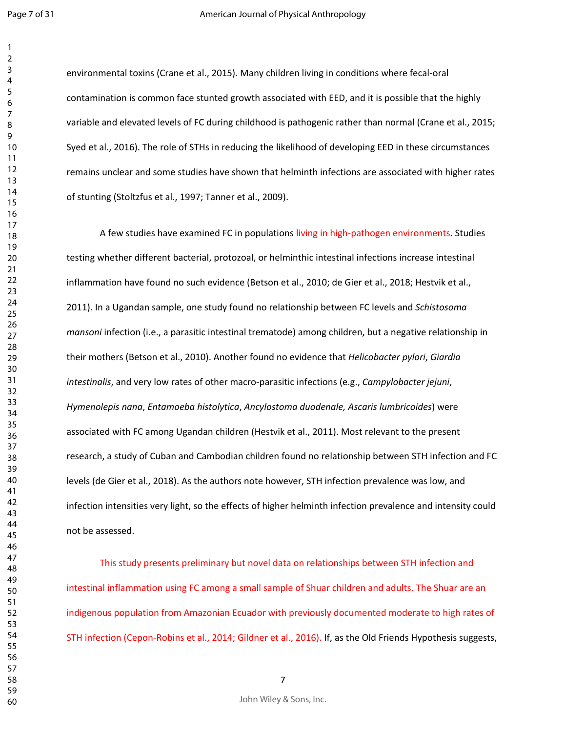environmental toxins (Crane et al., 2015). Many children living in conditions where fecal-oral contamination is common face stunted growth associated with EED, and it is possible that the highly variable and elevated levels of FC during childhood is pathogenic rather than normal (Crane et al., 2015; Syed et al., 2016). The role of STHs in reducing the likelihood of developing EED in these circumstances remains unclear and some studies have shown that helminth infections are associated with higher rates of stunting (Stoltzfus et al., 1997; Tanner et al., 2009).

A few studies have examined FC in populations living in high-pathogen environments. Studies testing whether different bacterial, protozoal, or helminthic intestinal infections increase intestinal inflammation have found no such evidence (Betson et al., 2010; de Gier et al., 2018; Hestvik et al., 2011). In a Ugandan sample, one study found no relationship between FC levels and *Schistosoma mansoni* infection (i.e., a parasitic intestinal trematode) among children, but a negative relationship in their mothers (Betson et al., 2010). Another found no evidence that *Helicobacter pylori*, *Giardia intestinalis*, and very low rates of other macro-parasitic infections (e.g., *Campylobacter jejuni*, *Hymenolepis nana*, *Entamoeba histolytica*, *Ancylostoma duodenale, Ascaris lumbricoides*) were associated with FC among Ugandan children (Hestvik et al., 2011). Most relevant to the present research, a study of Cuban and Cambodian children found no relationship between STH infection and FC levels (de Gier et al., 2018). As the authors note however, STH infection prevalence was low, and infection intensities very light, so the effects of higher helminth infection prevalence and intensity could not be assessed.

This study presents preliminary but novel data on relationships between STH infection and intestinal inflammation using FC among a small sample of Shuar children and adults. The Shuar are an indigenous population from Amazonian Ecuador with previously documented moderate to high rates of STH infection (Cepon-Robins et al., 2014; Gildner et al., 2016). If, as the Old Friends Hypothesis suggests,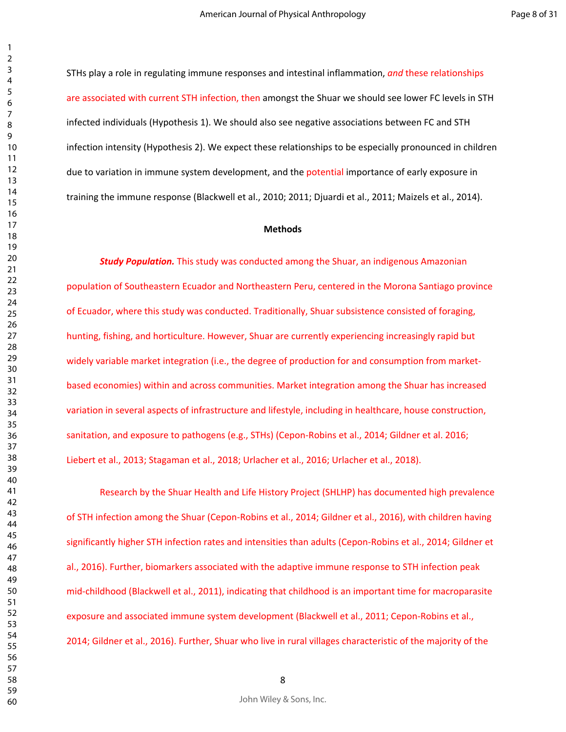STHs play a role in regulating immune responses and intestinal inflammation, *and* these relationships are associated with current STH infection, then amongst the Shuar we should see lower FC levels in STH infected individuals (Hypothesis 1). We should also see negative associations between FC and STH infection intensity (Hypothesis 2). We expect these relationships to be especially pronounced in children due to variation in immune system development, and the potential importance of early exposure in training the immune response (Blackwell et al., 2010; 2011; Djuardi et al., 2011; Maizels et al., 2014).

#### **Methods**

*Study Population.* This study was conducted among the Shuar, an indigenous Amazonian population of Southeastern Ecuador and Northeastern Peru, centered in the Morona Santiago province of Ecuador, where this study was conducted. Traditionally, Shuar subsistence consisted of foraging, hunting, fishing, and horticulture. However, Shuar are currently experiencing increasingly rapid but widely variable market integration (i.e., the degree of production for and consumption from marketbased economies) within and across communities. Market integration among the Shuar has increased variation in several aspects of infrastructure and lifestyle, including in healthcare, house construction, sanitation, and exposure to pathogens (e.g., STHs) (Cepon-Robins et al., 2014; Gildner et al. 2016; Liebert et al., 2013; Stagaman et al., 2018; Urlacher et al., 2016; Urlacher et al., 2018).

Research by the Shuar Health and Life History Project (SHLHP) has documented high prevalence of STH infection among the Shuar (Cepon-Robins et al., 2014; Gildner et al., 2016), with children having significantly higher STH infection rates and intensities than adults (Cepon-Robins et al., 2014; Gildner et al., 2016). Further, biomarkers associated with the adaptive immune response to STH infection peak mid-childhood (Blackwell et al., 2011), indicating that childhood is an important time for macroparasite exposure and associated immune system development (Blackwell et al., 2011; Cepon-Robins et al., 2014; Gildner et al., 2016). Further, Shuar who live in rural villages characteristic of the majority of the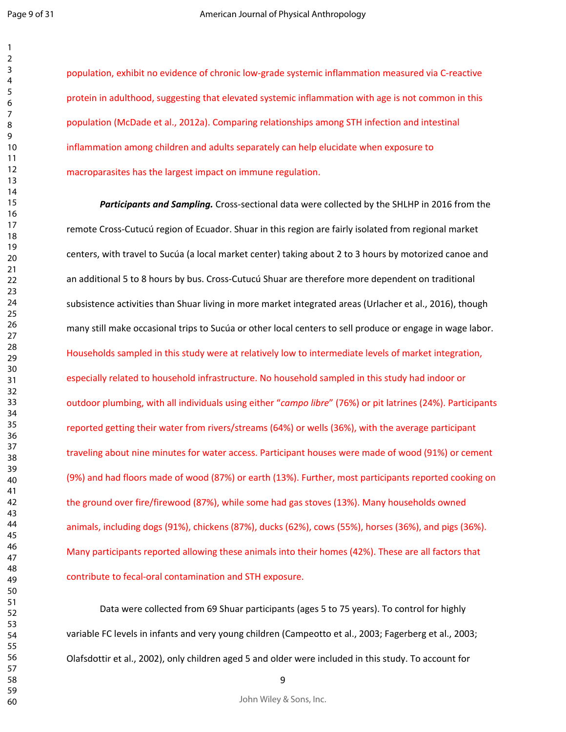population, exhibit no evidence of chronic low-grade systemic inflammation measured via C-reactive protein in adulthood, suggesting that elevated systemic inflammation with age is not common in this population (McDade et al., 2012a). Comparing relationships among STH infection and intestinal inflammation among children and adults separately can help elucidate when exposure to macroparasites has the largest impact on immune regulation.

*Participants and Sampling.* Cross-sectional data were collected by the SHLHP in 2016 from the remote Cross-Cutucú region of Ecuador. Shuar in this region are fairly isolated from regional market centers, with travel to Sucúa (a local market center) taking about 2 to 3 hours by motorized canoe and an additional 5 to 8 hours by bus. Cross-Cutucú Shuar are therefore more dependent on traditional subsistence activities than Shuar living in more market integrated areas (Urlacher et al., 2016), though many still make occasional trips to Sucúa or other local centers to sell produce or engage in wage labor. Households sampled in this study were at relatively low to intermediate levels of market integration, especially related to household infrastructure. No household sampled in this study had indoor or outdoor plumbing, with all individuals using either "*campo libre*" (76%) or pit latrines (24%). Participants reported getting their water from rivers/streams (64%) or wells (36%), with the average participant traveling about nine minutes for water access. Participant houses were made of wood (91%) or cement (9%) and had floors made of wood (87%) or earth (13%). Further, most participants reported cooking on the ground over fire/firewood (87%), while some had gas stoves (13%). Many households owned animals, including dogs (91%), chickens (87%), ducks (62%), cows (55%), horses (36%), and pigs (36%). Many participants reported allowing these animals into their homes (42%). These are all factors that contribute to fecal-oral contamination and STH exposure.

Data were collected from 69 Shuar participants (ages 5 to 75 years). To control for highly variable FC levels in infants and very young children (Campeotto et al., 2003; Fagerberg et al., 2003; Olafsdottir et al., 2002), only children aged 5 and older were included in this study. To account for

John Wiley & Sons, Inc.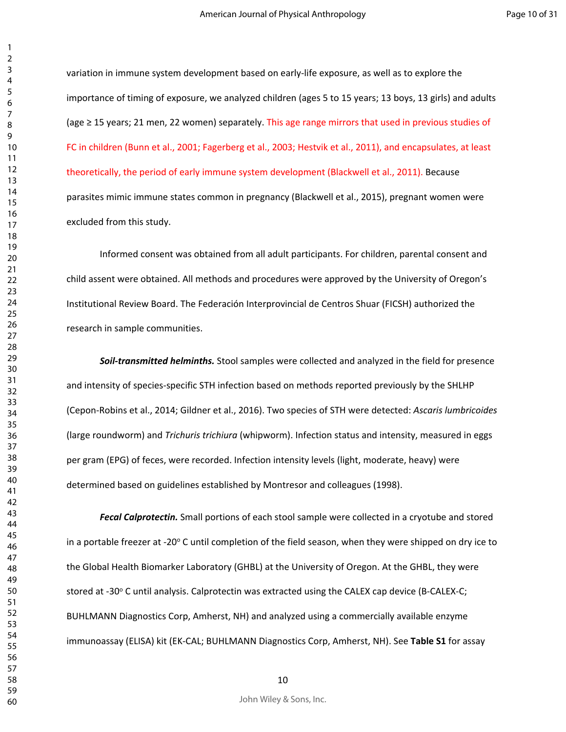variation in immune system development based on early-life exposure, as well as to explore the importance of timing of exposure, we analyzed children (ages 5 to 15 years; 13 boys, 13 girls) and adults (age ≥ 15 years; 21 men, 22 women) separately. This age range mirrors that used in previous studies of FC in children (Bunn et al., 2001; Fagerberg et al., 2003; Hestvik et al., 2011), and encapsulates, at least theoretically, the period of early immune system development (Blackwell et al., 2011). Because parasites mimic immune states common in pregnancy (Blackwell et al., 2015), pregnant women were excluded from this study.

Informed consent was obtained from all adult participants. For children, parental consent and child assent were obtained. All methods and procedures were approved by the University of Oregon's Institutional Review Board. The Federación Interprovincial de Centros Shuar (FICSH) authorized the research in sample communities.

*Soil-transmitted helminths.* Stool samples were collected and analyzed in the field for presence and intensity of species-specific STH infection based on methods reported previously by the SHLHP (Cepon-Robins et al., 2014; Gildner et al., 2016). Two species of STH were detected: *Ascaris lumbricoides*  (large roundworm) and *Trichuris trichiura* (whipworm). Infection status and intensity, measured in eggs per gram (EPG) of feces, were recorded. Infection intensity levels (light, moderate, heavy) were determined based on guidelines established by Montresor and colleagues (1998).

*Fecal Calprotectin.* Small portions of each stool sample were collected in a cryotube and stored in a portable freezer at -20° C until completion of the field season, when they were shipped on dry ice to the Global Health Biomarker Laboratory (GHBL) at the University of Oregon. At the GHBL, they were stored at -30° C until analysis. Calprotectin was extracted using the CALEX cap device (B-CALEX-C; BUHLMANN Diagnostics Corp, Amherst, NH) and analyzed using a commercially available enzyme immunoassay (ELISA) kit (EK-CAL; BUHLMANN Diagnostics Corp, Amherst, NH). See **Table S1** for assay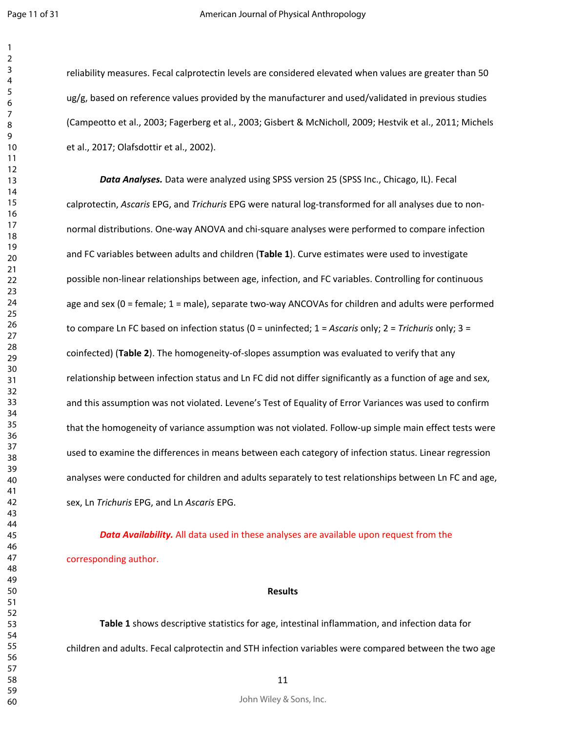reliability measures. Fecal calprotectin levels are considered elevated when values are greater than 50 ug/g, based on reference values provided by the manufacturer and used/validated in previous studies (Campeotto et al., 2003; Fagerberg et al., 2003; Gisbert & McNicholl, 2009; Hestvik et al., 2011; Michels et al., 2017; Olafsdottir et al., 2002).

*Data Analyses.* Data were analyzed using SPSS version 25 (SPSS Inc., Chicago, IL). Fecal calprotectin, *Ascaris* EPG, and *Trichuris* EPG were natural log-transformed for all analyses due to nonnormal distributions. One-way ANOVA and chi-square analyses were performed to compare infection and FC variables between adults and children (**Table 1**). Curve estimates were used to investigate possible non-linear relationships between age, infection, and FC variables. Controlling for continuous age and sex (0 = female; 1 = male), separate two-way ANCOVAs for children and adults were performed to compare Ln FC based on infection status (0 = uninfected; 1 = *Ascaris* only; 2 = *Trichuris* only; 3 = coinfected) (**Table 2**). The homogeneity-of-slopes assumption was evaluated to verify that any relationship between infection status and Ln FC did not differ significantly as a function of age and sex, and this assumption was not violated. Levene's Test of Equality of Error Variances was used to confirm that the homogeneity of variance assumption was not violated. Follow-up simple main effect tests were used to examine the differences in means between each category of infection status. Linear regression analyses were conducted for children and adults separately to test relationships between Ln FC and age, sex, Ln *Trichuris* EPG, and Ln *Ascaris* EPG.

*Data Availability.* All data used in these analyses are available upon request from the corresponding author.

#### **Results**

**Table 1** shows descriptive statistics for age, intestinal inflammation, and infection data for children and adults. Fecal calprotectin and STH infection variables were compared between the two age

John Wiley & Sons, Inc.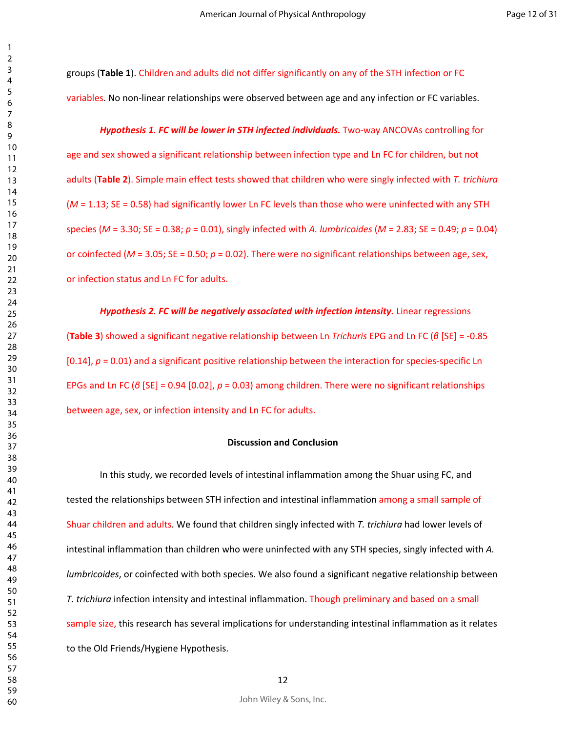groups (**Table 1**). Children and adults did not differ significantly on any of the STH infection or FC variables. No non-linear relationships were observed between age and any infection or FC variables.

#### Hypothesis 1. FC will be lower in STH infected individuals. Two-way ANCOVAs controlling for

age and sex showed a significant relationship between infection type and Ln FC for children, but not adults (**Table 2**). Simple main effect tests showed that children who were singly infected with *T. trichiura* (*M* = 1.13; SE = 0.58) had significantly lower Ln FC levels than those who were uninfected with any STH species (*M* = 3.30; SE = 0.38; *p* = 0.01), singly infected with *A. lumbricoides* (*M* = 2.83; SE = 0.49; *p* = 0.04) or coinfected ( $M = 3.05$ ; SE = 0.50;  $p = 0.02$ ). There were no significant relationships between age, sex, or infection status and Ln FC for adults.

#### *Hypothesis 2. FC will be negatively associated with infection intensity. Linear regressions*

(**Table 3**) showed a significant negative relationship between Ln *Trichuris* EPG and Ln FC (*β* [SE] = -0.85 [0.14], *p* = 0.01) and a significant positive relationship between the interaction for species-specific Ln EPGs and Ln FC (*β* [SE] = 0.94 [0.02], *p* = 0.03) among children. There were no significant relationships between age, sex, or infection intensity and Ln FC for adults.

#### **Discussion and Conclusion**

In this study, we recorded levels of intestinal inflammation among the Shuar using FC, and tested the relationships between STH infection and intestinal inflammation among a small sample of Shuar children and adults. We found that children singly infected with *T. trichiura* had lower levels of intestinal inflammation than children who were uninfected with any STH species, singly infected with *A. lumbricoides*, or coinfected with both species. We also found a significant negative relationship between *T. trichiura* infection intensity and intestinal inflammation. Though preliminary and based on a small sample size, this research has several implications for understanding intestinal inflammation as it relates to the Old Friends/Hygiene Hypothesis.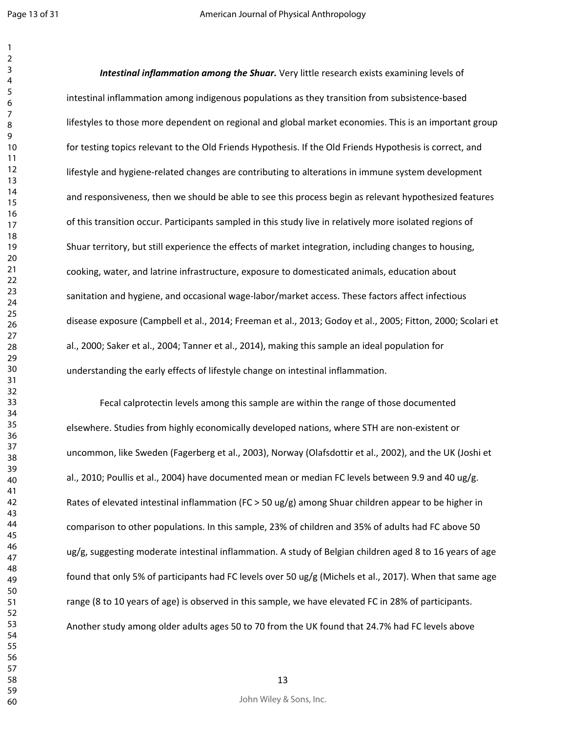*Intestinal inflammation among the Shuar.* Very little research exists examining levels of intestinal inflammation among indigenous populations as they transition from subsistence-based lifestyles to those more dependent on regional and global market economies. This is an important group for testing topics relevant to the Old Friends Hypothesis. If the Old Friends Hypothesis is correct, and lifestyle and hygiene-related changes are contributing to alterations in immune system development and responsiveness, then we should be able to see this process begin as relevant hypothesized features of this transition occur. Participants sampled in this study live in relatively more isolated regions of Shuar territory, but still experience the effects of market integration, including changes to housing, cooking, water, and latrine infrastructure, exposure to domesticated animals, education about sanitation and hygiene, and occasional wage-labor/market access. These factors affect infectious disease exposure (Campbell et al., 2014; Freeman et al., 2013; Godoy et al., 2005; Fitton, 2000; Scolari et al., 2000; Saker et al., 2004; Tanner et al., 2014), making this sample an ideal population for understanding the early effects of lifestyle change on intestinal inflammation.

Fecal calprotectin levels among this sample are within the range of those documented elsewhere. Studies from highly economically developed nations, where STH are non-existent or uncommon, like Sweden (Fagerberg et al., 2003), Norway (Olafsdottir et al., 2002), and the UK (Joshi et al., 2010; Poullis et al., 2004) have documented mean or median FC levels between 9.9 and 40 ug/g. Rates of elevated intestinal inflammation (FC > 50 ug/g) among Shuar children appear to be higher in comparison to other populations. In this sample, 23% of children and 35% of adults had FC above 50 ug/g, suggesting moderate intestinal inflammation. A study of Belgian children aged 8 to 16 years of age found that only 5% of participants had FC levels over 50 ug/g (Michels et al., 2017). When that same age range (8 to 10 years of age) is observed in this sample, we have elevated FC in 28% of participants. Another study among older adults ages 50 to 70 from the UK found that 24.7% had FC levels above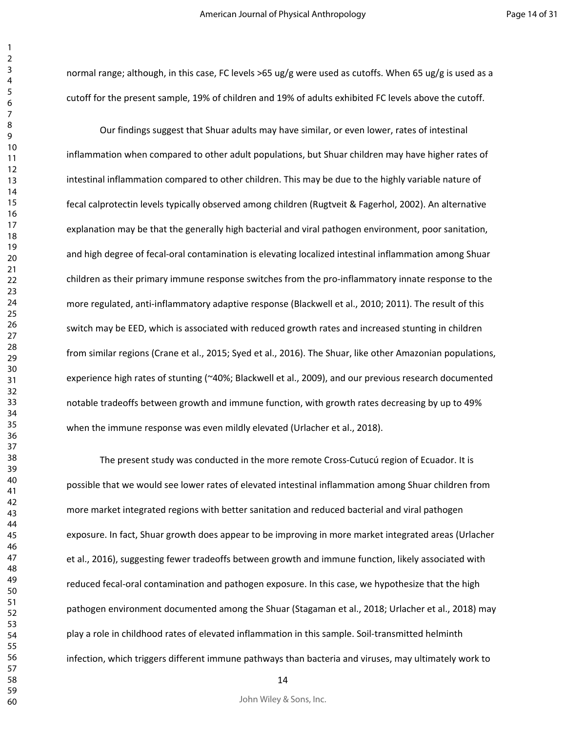normal range; although, in this case, FC levels >65 ug/g were used as cutoffs. When 65 ug/g is used as a cutoff for the present sample, 19% of children and 19% of adults exhibited FC levels above the cutoff.

Our findings suggest that Shuar adults may have similar, or even lower, rates of intestinal inflammation when compared to other adult populations, but Shuar children may have higher rates of intestinal inflammation compared to other children. This may be due to the highly variable nature of fecal calprotectin levels typically observed among children (Rugtveit & Fagerhol, 2002). An alternative explanation may be that the generally high bacterial and viral pathogen environment, poor sanitation, and high degree of fecal-oral contamination is elevating localized intestinal inflammation among Shuar children as their primary immune response switches from the pro-inflammatory innate response to the more regulated, anti-inflammatory adaptive response (Blackwell et al., 2010; 2011). The result of this switch may be EED, which is associated with reduced growth rates and increased stunting in children from similar regions (Crane et al., 2015; Syed et al., 2016). The Shuar, like other Amazonian populations, experience high rates of stunting (~40%; Blackwell et al., 2009), and our previous research documented notable tradeoffs between growth and immune function, with growth rates decreasing by up to 49% when the immune response was even mildly elevated (Urlacher et al., 2018).

The present study was conducted in the more remote Cross-Cutucú region of Ecuador. It is possible that we would see lower rates of elevated intestinal inflammation among Shuar children from more market integrated regions with better sanitation and reduced bacterial and viral pathogen exposure. In fact, Shuar growth does appear to be improving in more market integrated areas (Urlacher et al., 2016), suggesting fewer tradeoffs between growth and immune function, likely associated with reduced fecal-oral contamination and pathogen exposure. In this case, we hypothesize that the high pathogen environment documented among the Shuar (Stagaman et al., 2018; Urlacher et al., 2018) may play a role in childhood rates of elevated inflammation in this sample. Soil-transmitted helminth infection, which triggers different immune pathways than bacteria and viruses, may ultimately work to

John Wiley & Sons, Inc.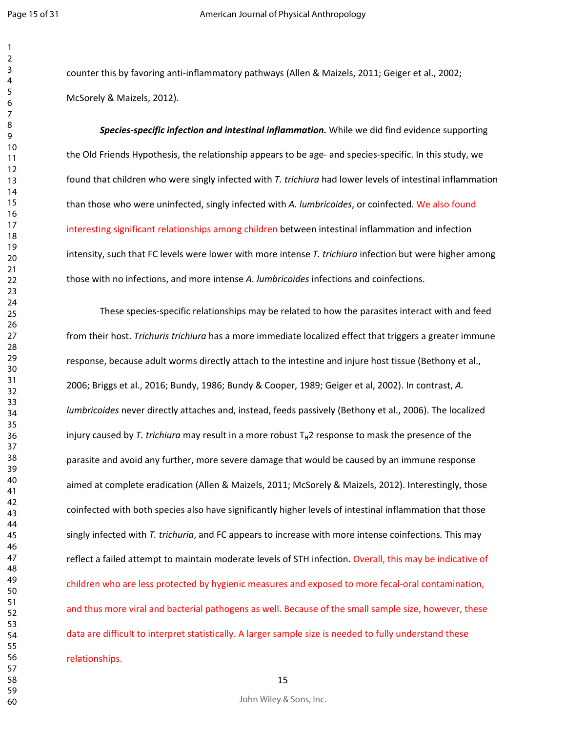counter this by favoring anti-inflammatory pathways (Allen & Maizels, 2011; Geiger et al., 2002; McSorely & Maizels, 2012).

*Species-specific infection and intestinal inflammation.* While we did find evidence supporting the Old Friends Hypothesis, the relationship appears to be age- and species-specific. In this study, we found that children who were singly infected with *T. trichiura* had lower levels of intestinal inflammation than those who were uninfected, singly infected with *A. lumbricoides*, or coinfected. We also found interesting significant relationships among children between intestinal inflammation and infection intensity, such that FC levels were lower with more intense *T. trichiura* infection but were higher among those with no infections, and more intense *A. lumbricoides* infections and coinfections.

These species-specific relationships may be related to how the parasites interact with and feed from their host. *Trichuris trichiura* has a more immediate localized effect that triggers a greater immune response, because adult worms directly attach to the intestine and injure host tissue (Bethony et al., 2006; Briggs et al., 2016; Bundy, 1986; Bundy & Cooper, 1989; Geiger et al, 2002). In contrast, *A. lumbricoides* never directly attaches and, instead, feeds passively (Bethony et al., 2006). The localized injury caused by *T. trichiura* may result in a more robust  $T<sub>H</sub>2$  response to mask the presence of the parasite and avoid any further, more severe damage that would be caused by an immune response aimed at complete eradication (Allen & Maizels, 2011; McSorely & Maizels, 2012). Interestingly, those coinfected with both species also have significantly higher levels of intestinal inflammation that those singly infected with *T. trichuria*, and FC appears to increase with more intense coinfections*.* This may reflect a failed attempt to maintain moderate levels of STH infection. Overall, this may be indicative of children who are less protected by hygienic measures and exposed to more fecal-oral contamination, and thus more viral and bacterial pathogens as well. Because of the small sample size, however, these data are difficult to interpret statistically. A larger sample size is needed to fully understand these relationships.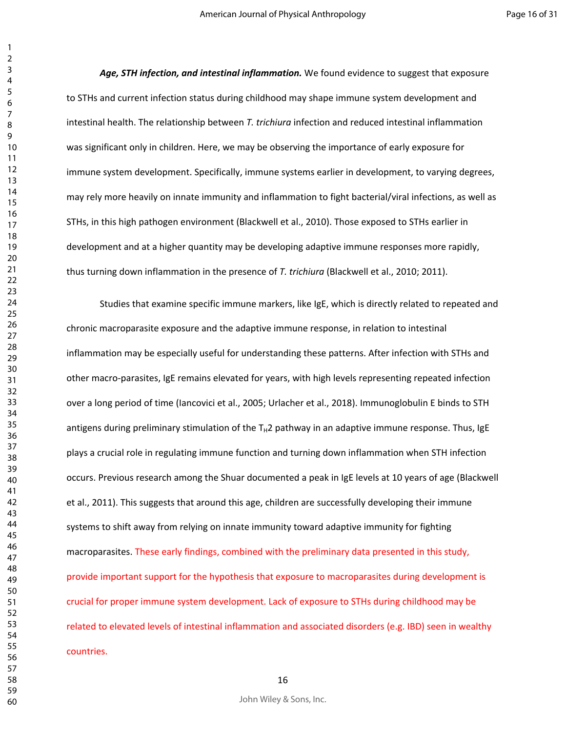*Age, STH infection, and intestinal inflammation.* We found evidence to suggest that exposure to STHs and current infection status during childhood may shape immune system development and intestinal health. The relationship between *T. trichiura* infection and reduced intestinal inflammation was significant only in children. Here, we may be observing the importance of early exposure for immune system development. Specifically, immune systems earlier in development, to varying degrees, may rely more heavily on innate immunity and inflammation to fight bacterial/viral infections, as well as STHs, in this high pathogen environment (Blackwell et al., 2010). Those exposed to STHs earlier in development and at a higher quantity may be developing adaptive immune responses more rapidly, thus turning down inflammation in the presence of *T. trichiura* (Blackwell et al., 2010; 2011).

Studies that examine specific immune markers, like IgE, which is directly related to repeated and chronic macroparasite exposure and the adaptive immune response, in relation to intestinal inflammation may be especially useful for understanding these patterns. After infection with STHs and other macro-parasites, IgE remains elevated for years, with high levels representing repeated infection over a long period of time (Iancovici et al., 2005; Urlacher et al., 2018). Immunoglobulin E binds to STH antigens during preliminary stimulation of the  $T_H2$  pathway in an adaptive immune response. Thus, IgE plays a crucial role in regulating immune function and turning down inflammation when STH infection occurs. Previous research among the Shuar documented a peak in IgE levels at 10 years of age (Blackwell et al., 2011). This suggests that around this age, children are successfully developing their immune systems to shift away from relying on innate immunity toward adaptive immunity for fighting macroparasites. These early findings, combined with the preliminary data presented in this study, provide important support for the hypothesis that exposure to macroparasites during development is crucial for proper immune system development. Lack of exposure to STHs during childhood may be related to elevated levels of intestinal inflammation and associated disorders (e.g. IBD) seen in wealthy countries.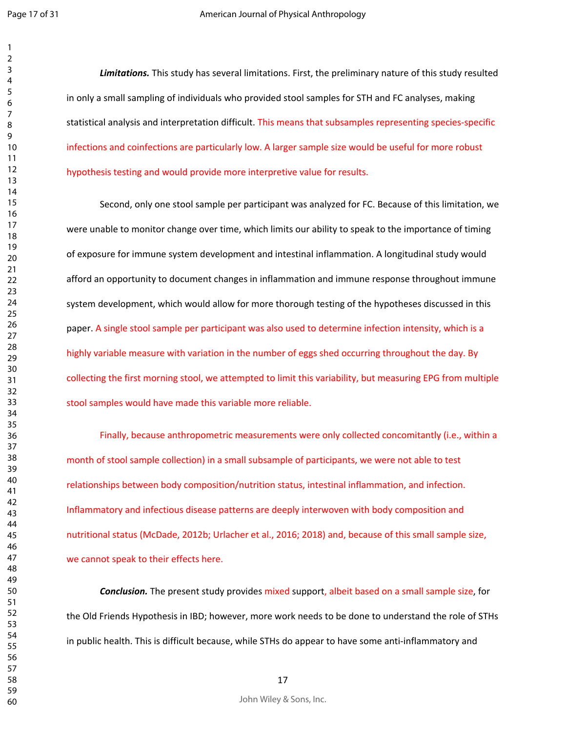*Limitations.* This study has several limitations. First, the preliminary nature of this study resulted in only a small sampling of individuals who provided stool samples for STH and FC analyses, making statistical analysis and interpretation difficult. This means that subsamples representing species-specific infections and coinfections are particularly low. A larger sample size would be useful for more robust hypothesis testing and would provide more interpretive value for results.

Second, only one stool sample per participant was analyzed for FC. Because of this limitation, we were unable to monitor change over time, which limits our ability to speak to the importance of timing of exposure for immune system development and intestinal inflammation. A longitudinal study would afford an opportunity to document changes in inflammation and immune response throughout immune system development, which would allow for more thorough testing of the hypotheses discussed in this paper. A single stool sample per participant was also used to determine infection intensity, which is a highly variable measure with variation in the number of eggs shed occurring throughout the day. By collecting the first morning stool, we attempted to limit this variability, but measuring EPG from multiple stool samples would have made this variable more reliable.

Finally, because anthropometric measurements were only collected concomitantly (i.e., within a month of stool sample collection) in a small subsample of participants, we were not able to test relationships between body composition/nutrition status, intestinal inflammation, and infection. Inflammatory and infectious disease patterns are deeply interwoven with body composition and nutritional status (McDade, 2012b; Urlacher et al., 2016; 2018) and, because of this small sample size, we cannot speak to their effects here.

*Conclusion.* The present study provides mixed support, albeit based on a small sample size, for the Old Friends Hypothesis in IBD; however, more work needs to be done to understand the role of STHs in public health. This is difficult because, while STHs do appear to have some anti-inflammatory and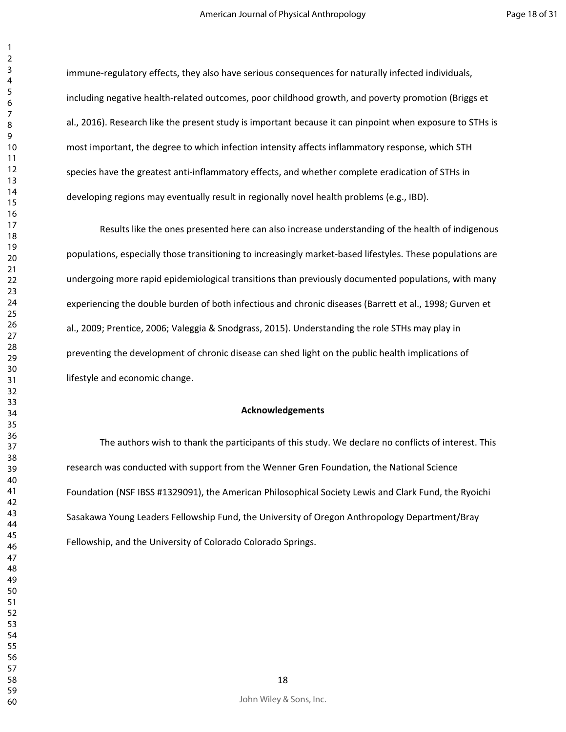immune-regulatory effects, they also have serious consequences for naturally infected individuals, including negative health-related outcomes, poor childhood growth, and poverty promotion (Briggs et al., 2016). Research like the present study is important because it can pinpoint when exposure to STHs is most important, the degree to which infection intensity affects inflammatory response, which STH species have the greatest anti-inflammatory effects, and whether complete eradication of STHs in developing regions may eventually result in regionally novel health problems (e.g., IBD).

Results like the ones presented here can also increase understanding of the health of indigenous populations, especially those transitioning to increasingly market-based lifestyles. These populations are undergoing more rapid epidemiological transitions than previously documented populations, with many experiencing the double burden of both infectious and chronic diseases (Barrett et al., 1998; Gurven et al., 2009; Prentice, 2006; Valeggia & Snodgrass, 2015). Understanding the role STHs may play in preventing the development of chronic disease can shed light on the public health implications of lifestyle and economic change.

#### **Acknowledgements**

The authors wish to thank the participants of this study. We declare no conflicts of interest. This research was conducted with support from the Wenner Gren Foundation, the National Science Foundation (NSF IBSS #1329091), the American Philosophical Society Lewis and Clark Fund, the Ryoichi Sasakawa Young Leaders Fellowship Fund, the University of Oregon Anthropology Department/Bray Fellowship, and the University of Colorado Colorado Springs.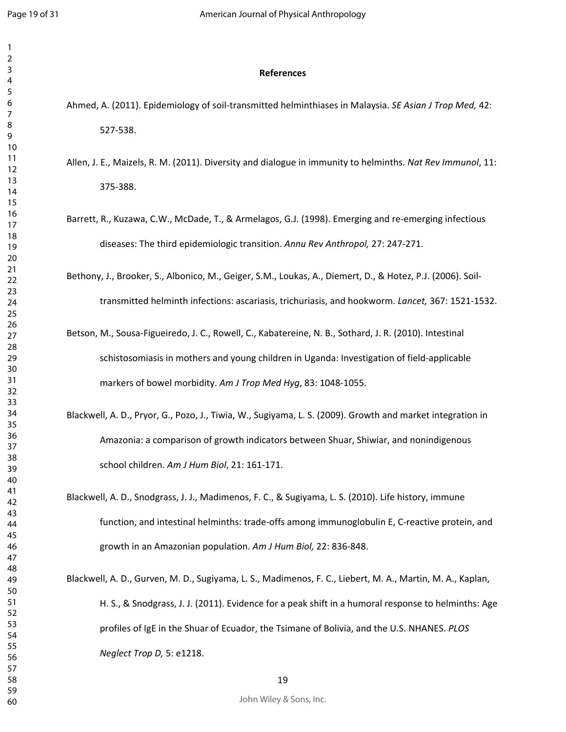#### **References**

- Ahmed, A. (2011). Epidemiology of soil-transmitted helminthiases in Malaysia. *SE Asian J Trop Med,* 42: 527-538.
- Allen, J. E., Maizels, R. M. (2011). Diversity and dialogue in immunity to helminths. *Nat Rev Immunol*, 11: 375-388.
- Barrett, R., Kuzawa, C.W., McDade, T., & Armelagos, G.J. (1998). Emerging and re-emerging infectious diseases: The third epidemiologic transition. *Annu Rev Anthropol,* 27: 247-271.
- Bethony, J., Brooker, S., Albonico, M., Geiger, S.M., Loukas, A., Diemert, D., & Hotez, P.J. (2006). Soiltransmitted helminth infections: ascariasis, trichuriasis, and hookworm. *Lancet,* 367: 1521-1532.
- Betson, M., Sousa-Figueiredo, J. C., Rowell, C., Kabatereine, N. B., Sothard, J. R. (2010). Intestinal schistosomiasis in mothers and young children in Uganda: Investigation of field-applicable markers of bowel morbidity. *Am J Trop Med Hyg*, 83: 1048-1055.
- Blackwell, A. D., Pryor, G., Pozo, J., Tiwia, W., Sugiyama, L. S. (2009). Growth and market integration in Amazonia: a comparison of growth indicators between Shuar, Shiwiar, and nonindigenous school children. *Am J Hum Biol*, 21: 161-171.
- Blackwell, A. D., Snodgrass, J. J., Madimenos, F. C., & Sugiyama, L. S. (2010). Life history, immune function, and intestinal helminths: trade-offs among immunoglobulin E, C-reactive protein, and growth in an Amazonian population. *Am J Hum Biol,* 22: 836-848.
- Blackwell, A. D., Gurven, M. D., Sugiyama, L. S., Madimenos, F. C., Liebert, M. A., Martin, M. A., Kaplan, H. S., & Snodgrass, J. J. (2011). Evidence for a peak shift in a humoral response to helminths: Age profiles of IgE in the Shuar of Ecuador, the Tsimane of Bolivia, and the U.S. NHANES. *PLOS Neglect Trop D,* 5: e1218.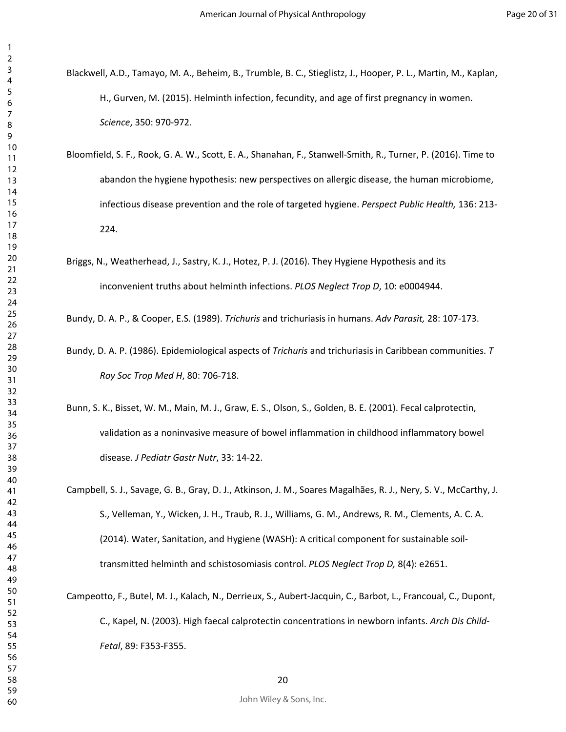- Blackwell, A.D., Tamayo, M. A., Beheim, B., Trumble, B. C., Stieglistz, J., Hooper, P. L., Martin, M., Kaplan, H., Gurven, M. (2015). Helminth infection, fecundity, and age of first pregnancy in women. *Science*, 350: 970-972.
- Bloomfield, S. F., Rook, G. A. W., Scott, E. A., Shanahan, F., Stanwell-Smith, R., Turner, P. (2016). Time to abandon the hygiene hypothesis: new perspectives on allergic disease, the human microbiome, infectious disease prevention and the role of targeted hygiene. *Perspect Public Health,* 136: 213- 224.
- Briggs, N., Weatherhead, J., Sastry, K. J., Hotez, P. J. (2016). They Hygiene Hypothesis and its inconvenient truths about helminth infections. *PLOS Neglect Trop D*, 10: e0004944.

Bundy, D. A. P., & Cooper, E.S. (1989). *Trichuris* and trichuriasis in humans. *Adv Parasit,* 28: 107-173.

- Bundy, D. A. P. (1986). Epidemiological aspects of *Trichuris* and trichuriasis in Caribbean communities. *T Roy Soc Trop Med H*, 80: 706-718.
- Bunn, S. K., Bisset, W. M., Main, M. J., Graw, E. S., Olson, S., Golden, B. E. (2001). Fecal calprotectin, validation as a noninvasive measure of bowel inflammation in childhood inflammatory bowel disease. *J Pediatr Gastr Nutr*, 33: 14-22.
- Campbell, S. J., Savage, G. B., Gray, D. J., Atkinson, J. M., Soares Magalhães, R. J., Nery, S. V., McCarthy, J. S., Velleman, Y., Wicken, J. H., Traub, R. J., Williams, G. M., Andrews, R. M., Clements, A. C. A. (2014). Water, Sanitation, and Hygiene (WASH): A critical component for sustainable soiltransmitted helminth and schistosomiasis control. *PLOS Neglect Trop D,* 8(4): e2651.
- Campeotto, F., Butel, M. J., Kalach, N., Derrieux, S., Aubert-Jacquin, C., Barbot, L., Francoual, C., Dupont, C., Kapel, N. (2003). High faecal calprotectin concentrations in newborn infants. *Arch Dis Child-Fetal*, 89: F353-F355.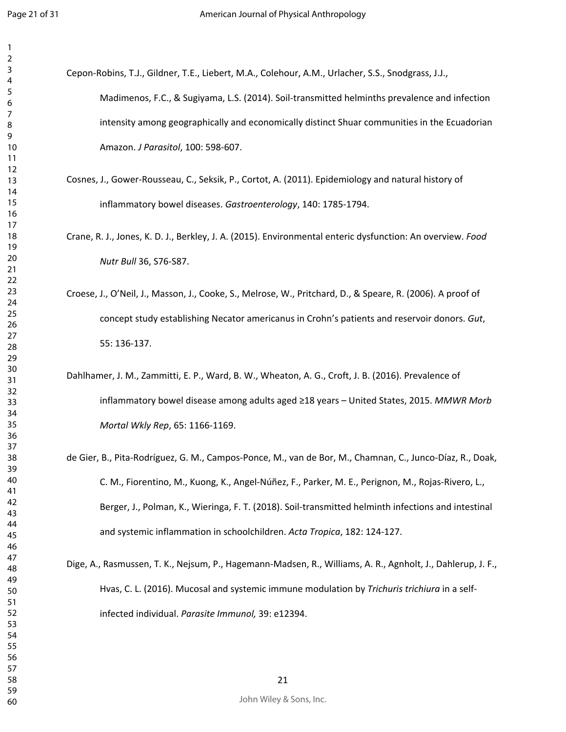| 3               |  |
|-----------------|--|
| 4               |  |
| 5               |  |
| 6               |  |
|                 |  |
| 8               |  |
| 9               |  |
|                 |  |
| 10              |  |
| 11              |  |
| $\overline{12}$ |  |
| 13              |  |
| 14              |  |
| 15              |  |
| 16              |  |
| 1               |  |
| 18              |  |
| 19              |  |
| 20              |  |
| $\overline{21}$ |  |
|                 |  |
| $^{22}$         |  |
| 23              |  |
| $\overline{24}$ |  |
| 25              |  |
| 26              |  |
| 27              |  |
| 28              |  |
| 29              |  |
| 30              |  |
| 31              |  |
| 32              |  |
|                 |  |
| 33              |  |
| 34              |  |
| 35              |  |
| 36              |  |
| 37              |  |
| 38              |  |
| 39              |  |
| 40              |  |
| 41              |  |
| 42              |  |
|                 |  |
| 43              |  |
| 44              |  |
| 45              |  |
| 46              |  |
| 47              |  |
| 48              |  |
| 49              |  |
| 50              |  |
| 51              |  |
| 52              |  |
| 53              |  |
| 54              |  |
|                 |  |
| 55              |  |
| 56              |  |
| 57              |  |
| 58              |  |
| 59              |  |

| Cepon-Robins, T.J., Gildner, T.E., Liebert, M.A., Colehour, A.M., Urlacher, S.S., Snodgrass, J.J.,         |
|------------------------------------------------------------------------------------------------------------|
| Madimenos, F.C., & Sugiyama, L.S. (2014). Soil-transmitted helminths prevalence and infection              |
| intensity among geographically and economically distinct Shuar communities in the Ecuadorian               |
| Amazon. J Parasitol, 100: 598-607.                                                                         |
| Cosnes, J., Gower-Rousseau, C., Seksik, P., Cortot, A. (2011). Epidemiology and natural history of         |
| inflammatory bowel diseases. Gastroenterology, 140: 1785-1794.                                             |
| Crane, R. J., Jones, K. D. J., Berkley, J. A. (2015). Environmental enteric dysfunction: An overview. Food |
| Nutr Bull 36, S76-S87.                                                                                     |
| Croese, J., O'Neil, J., Masson, J., Cooke, S., Melrose, W., Pritchard, D., & Speare, R. (2006). A proof of |
| concept study establishing Necator americanus in Crohn's patients and reservoir donors. Gut,               |
| 55: 136-137.                                                                                               |
| Dahlhamer, J. M., Zammitti, E. P., Ward, B. W., Wheaton, A. G., Croft, J. B. (2016). Prevalence of         |
| inflammatory bowel disease among adults aged ≥18 years - United States, 2015. MMWR Morb                    |
| Mortal Wkly Rep, 65: 1166-1169.                                                                            |
| de Gier, B., Pita-Rodríguez, G. M., Campos-Ponce, M., van de Bor, M., Chamnan, C., Junco-Díaz, R., Doak,   |

C. M., Fiorentino, M., Kuong, K., Angel-Núñez, F., Parker, M. E., Perignon, M., Rojas-Rivero, L., Berger, J., Polman, K., Wieringa, F. T. (2018). Soil-transmitted helminth infections and intestinal and systemic inflammation in schoolchildren. *Acta Tropica*, 182: 124-127.

Dige, A., Rasmussen, T. K., Nejsum, P., Hagemann-Madsen, R., Williams, A. R., Agnholt, J., Dahlerup, J. F., Hvas, C. L. (2016). Mucosal and systemic immune modulation by *Trichuris trichiura* in a selfinfected individual. *Parasite Immunol,* 39: e12394.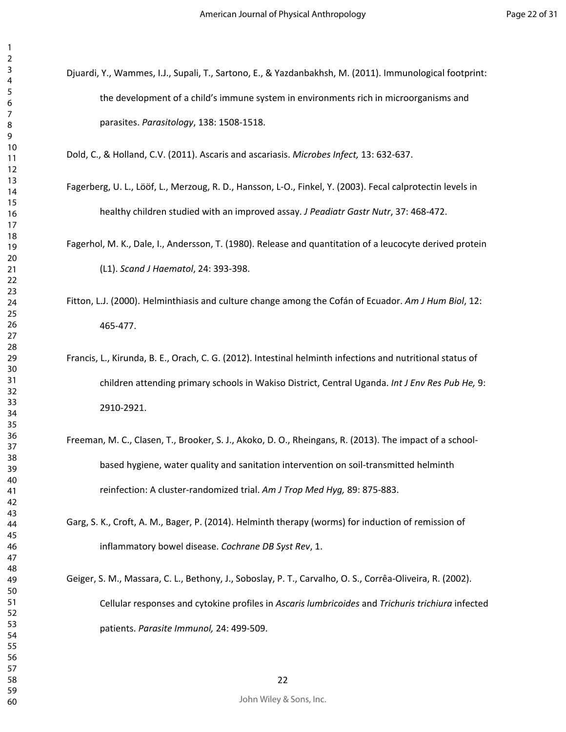Djuardi, Y., Wammes, I.J., Supali, T., Sartono, E., & Yazdanbakhsh, M. (2011). Immunological footprint: the development of a child's immune system in environments rich in microorganisms and parasites. *Parasitology*, 138: 1508-1518.

Dold, C., & Holland, C.V. (2011). Ascaris and ascariasis. *Microbes Infect,* 13: 632-637.

Fagerberg, U. L., Lööf, L., Merzoug, R. D., Hansson, L-O., Finkel, Y. (2003). Fecal calprotectin levels in healthy children studied with an improved assay. *J Peadiatr Gastr Nutr*, 37: 468-472.

Fagerhol, M. K., Dale, I., Andersson, T. (1980). Release and quantitation of a leucocyte derived protein (L1). *Scand J Haematol*, 24: 393-398.

- Fitton, L.J. (2000). Helminthiasis and culture change among the Cofán of Ecuador. *Am J Hum Biol*, 12: 465-477.
- Francis, L., Kirunda, B. E., Orach, C. G. (2012). Intestinal helminth infections and nutritional status of children attending primary schools in Wakiso District, Central Uganda. *Int J Env Res Pub He,* 9: 2910-2921.
- Freeman, M. C., Clasen, T., Brooker, S. J., Akoko, D. O., Rheingans, R. (2013). The impact of a schoolbased hygiene, water quality and sanitation intervention on soil-transmitted helminth reinfection: A cluster-randomized trial. *Am J Trop Med Hyg,* 89: 875-883.
- Garg, S. K., Croft, A. M., Bager, P. (2014). Helminth therapy (worms) for induction of remission of inflammatory bowel disease. *Cochrane DB Syst Rev*, 1.
- Geiger, S. M., Massara, C. L., Bethony, J., Soboslay, P. T., Carvalho, O. S., Corrêa-Oliveira, R. (2002). Cellular responses and cytokine profiles in *Ascaris lumbricoides* and *Trichuris trichiura* infected patients. *Parasite Immunol,* 24: 499-509.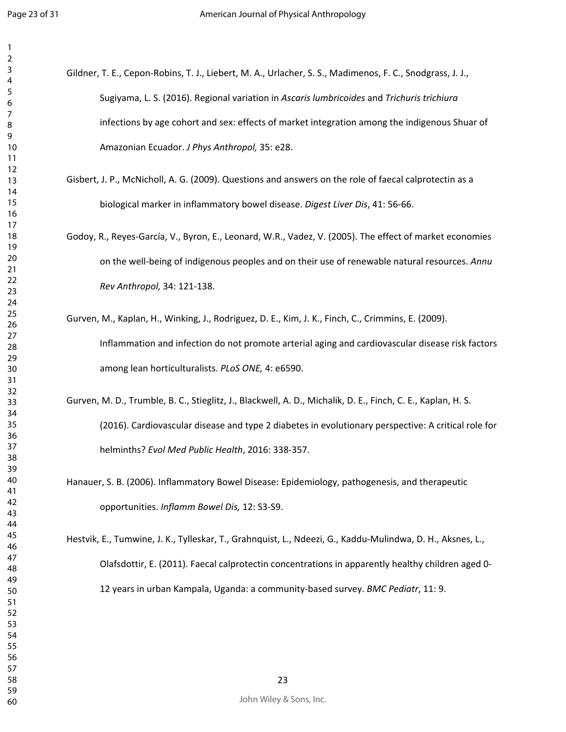| 3               |  |
|-----------------|--|
| 4               |  |
| 5               |  |
| 6               |  |
|                 |  |
| 8               |  |
|                 |  |
| 9               |  |
| 10              |  |
| 11              |  |
| $\overline{12}$ |  |
| 13              |  |
| $\overline{14}$ |  |
| 15              |  |
| 16              |  |
| 1               |  |
|                 |  |
| 18              |  |
| 19              |  |
| 20              |  |
| $\overline{21}$ |  |
| $^{22}$         |  |
| 23              |  |
| 24              |  |
| 25              |  |
| 26              |  |
| 27              |  |
|                 |  |
| 28              |  |
| 29              |  |
| 30              |  |
| $\overline{31}$ |  |
| $\overline{32}$ |  |
| 33              |  |
| 34              |  |
| 35              |  |
|                 |  |
| 36              |  |
| 37              |  |
| 38              |  |
| 39              |  |
| 40              |  |
| 41              |  |
| 42              |  |
| 43              |  |
| 44              |  |
| 45              |  |
|                 |  |
| 46              |  |
| 47              |  |
| 48              |  |
| 49              |  |
| 50              |  |
| 51              |  |
| 52              |  |
| 53              |  |
| 54              |  |
|                 |  |
| 55              |  |
| 56              |  |
| 57              |  |
| 58              |  |
| 59              |  |

| Gildner, T. E., Cepon-Robins, T. J., Liebert, M. A., Urlacher, S. S., Madimenos, F. C., Snodgrass, J. J., |
|-----------------------------------------------------------------------------------------------------------|
| Sugiyama, L. S. (2016). Regional variation in Ascaris lumbricoides and Trichuris trichiura                |
| infections by age cohort and sex: effects of market integration among the indigenous Shuar of             |
| Amazonian Ecuador. J Phys Anthropol, 35: e28.                                                             |

- Gisbert, J. P., McNicholl, A. G. (2009). Questions and answers on the role of faecal calprotectin as a biological marker in inflammatory bowel disease. *Digest Liver Dis*, 41: 56-66.
- Godoy, R., Reyes-García, V., Byron, E., Leonard, W.R., Vadez, V. (2005). The effect of market economies on the well-being of indigenous peoples and on their use of renewable natural resources. *Annu Rev Anthropol,* 34: 121-138.
- Gurven, M., Kaplan, H., Winking, J., Rodriguez, D. E., Kim, J. K., Finch, C., Crimmins, E. (2009). Inflammation and infection do not promote arterial aging and cardiovascular disease risk factors among lean horticulturalists. *PLoS ONE,* 4: e6590.
- Gurven, M. D., Trumble, B. C., Stieglitz, J., Blackwell, A. D., Michalik, D. E., Finch, C. E., Kaplan, H. S. (2016). Cardiovascular disease and type 2 diabetes in evolutionary perspective: A critical role for helminths? *Evol Med Public Health*, 2016: 338-357.
- Hanauer, S. B. (2006). Inflammatory Bowel Disease: Epidemiology, pathogenesis, and therapeutic opportunities. *Inflamm Bowel Dis,* 12: S3-S9.

Hestvik, E., Tumwine, J. K., Tylleskar, T., Grahnquist, L., Ndeezi, G., Kaddu-Mulindwa, D. H., Aksnes, L., Olafsdottir, E. (2011). Faecal calprotectin concentrations in apparently healthy children aged 0- 12 years in urban Kampala, Uganda: a community-based survey. *BMC Pediatr*, 11: 9.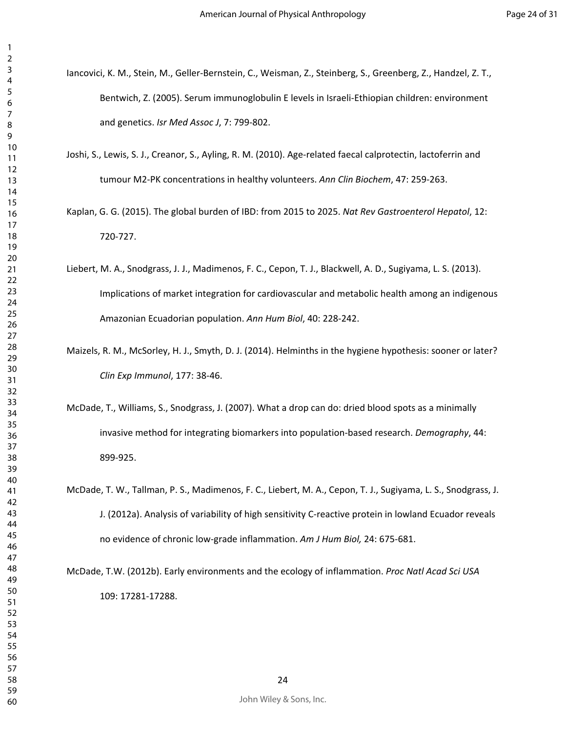- Iancovici, K. M., Stein, M., Geller-Bernstein, C., Weisman, Z., Steinberg, S., Greenberg, Z., Handzel, Z. T., Bentwich, Z. (2005). Serum immunoglobulin E levels in Israeli-Ethiopian children: environment and genetics. *Isr Med Assoc J*, 7: 799-802.
- Joshi, S., Lewis, S. J., Creanor, S., Ayling, R. M. (2010). Age-related faecal calprotectin, lactoferrin and tumour M2-PK concentrations in healthy volunteers. *Ann Clin Biochem*, 47: 259-263.
- Kaplan, G. G. (2015). The global burden of IBD: from 2015 to 2025. *Nat Rev Gastroenterol Hepatol*, 12: 720-727.
- Liebert, M. A., Snodgrass, J. J., Madimenos, F. C., Cepon, T. J., Blackwell, A. D., Sugiyama, L. S. (2013). Implications of market integration for cardiovascular and metabolic health among an indigenous Amazonian Ecuadorian population. *Ann Hum Biol*, 40: 228-242.
- Maizels, R. M., McSorley, H. J., Smyth, D. J. (2014). Helminths in the hygiene hypothesis: sooner or later? *Clin Exp Immunol*, 177: 38-46.
- McDade, T., Williams, S., Snodgrass, J. (2007). What a drop can do: dried blood spots as a minimally invasive method for integrating biomarkers into population-based research. *Demography*, 44: 899-925.
- McDade, T. W., Tallman, P. S., Madimenos, F. C., Liebert, M. A., Cepon, T. J., Sugiyama, L. S., Snodgrass, J. J. (2012a). Analysis of variability of high sensitivity C-reactive protein in lowland Ecuador reveals no evidence of chronic low-grade inflammation. *Am J Hum Biol,* 24: 675-681.

McDade, T.W. (2012b). Early environments and the ecology of inflammation. *Proc Natl Acad Sci USA* 109: 17281-17288.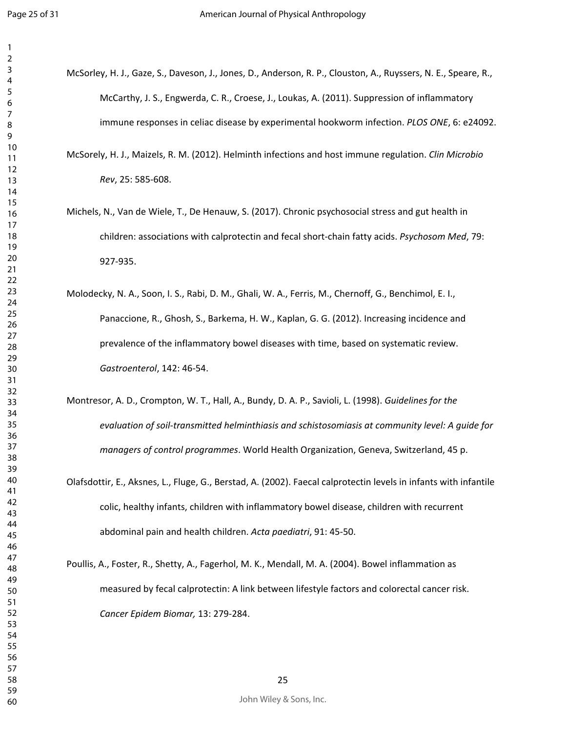- McSorley, H. J., Gaze, S., Daveson, J., Jones, D., Anderson, R. P., Clouston, A., Ruyssers, N. E., Speare, R., McCarthy, J. S., Engwerda, C. R., Croese, J., Loukas, A. (2011). Suppression of inflammatory immune responses in celiac disease by experimental hookworm infection. *PLOS ONE*, 6: e24092.
	- McSorely, H. J., Maizels, R. M. (2012). Helminth infections and host immune regulation. *Clin Microbio Rev*, 25: 585-608.
	- Michels, N., Van de Wiele, T., De Henauw, S. (2017). Chronic psychosocial stress and gut health in children: associations with calprotectin and fecal short-chain fatty acids. *Psychosom Med*, 79: 927-935.
	- Molodecky, N. A., Soon, I. S., Rabi, D. M., Ghali, W. A., Ferris, M., Chernoff, G., Benchimol, E. I., Panaccione, R., Ghosh, S., Barkema, H. W., Kaplan, G. G. (2012). Increasing incidence and prevalence of the inflammatory bowel diseases with time, based on systematic review. *Gastroenterol*, 142: 46-54.
	- Montresor, A. D., Crompton, W. T., Hall, A., Bundy, D. A. P., Savioli, L. (1998). *Guidelines for the evaluation of soil-transmitted helminthiasis and schistosomiasis at community level: A guide for managers of control programmes*. World Health Organization, Geneva, Switzerland, 45 p.
	- Olafsdottir, E., Aksnes, L., Fluge, G., Berstad, A. (2002). Faecal calprotectin levels in infants with infantile colic, healthy infants, children with inflammatory bowel disease, children with recurrent abdominal pain and health children. *Acta paediatri*, 91: 45-50.
	- Poullis, A., Foster, R., Shetty, A., Fagerhol, M. K., Mendall, M. A. (2004). Bowel inflammation as measured by fecal calprotectin: A link between lifestyle factors and colorectal cancer risk. *Cancer Epidem Biomar,* 13: 279-284.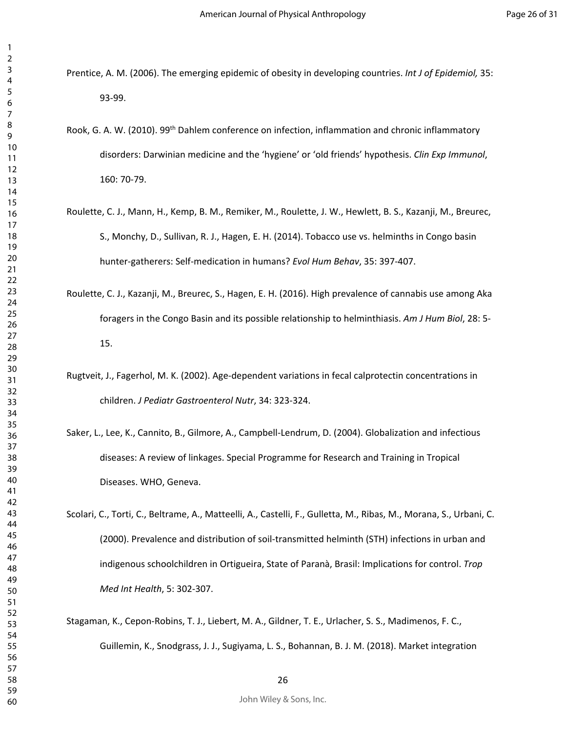- Prentice, A. M. (2006). The emerging epidemic of obesity in developing countries. *Int J of Epidemiol,* 35: 93-99.
- Rook, G. A. W. (2010). 99th Dahlem conference on infection, inflammation and chronic inflammatory disorders: Darwinian medicine and the 'hygiene' or 'old friends' hypothesis. *Clin Exp Immunol*, 160: 70-79.
- Roulette, C. J., Mann, H., Kemp, B. M., Remiker, M., Roulette, J. W., Hewlett, B. S., Kazanji, M., Breurec, S., Monchy, D., Sullivan, R. J., Hagen, E. H. (2014). Tobacco use vs. helminths in Congo basin hunter-gatherers: Self-medication in humans? *Evol Hum Behav*, 35: 397-407.
- Roulette, C. J., Kazanji, M., Breurec, S., Hagen, E. H. (2016). High prevalence of cannabis use among Aka foragers in the Congo Basin and its possible relationship to helminthiasis. *Am J Hum Biol*, 28: 5- 15.
- Rugtveit, J., Fagerhol, M. K. (2002). Age-dependent variations in fecal calprotectin concentrations in children. *J Pediatr Gastroenterol Nutr*, 34: 323-324.
- Saker, L., Lee, K., Cannito, B., Gilmore, A., Campbell-Lendrum, D. (2004). Globalization and infectious diseases: A review of linkages. Special Programme for Research and Training in Tropical Diseases. WHO, Geneva.

Scolari, C., Torti, C., Beltrame, A., Matteelli, A., Castelli, F., Gulletta, M., Ribas, M., Morana, S., Urbani, C. (2000). Prevalence and distribution of soil-transmitted helminth (STH) infections in urban and indigenous schoolchildren in Ortigueira, State of Paranà, Brasil: Implications for control. *Trop Med Int Health*, 5: 302-307.

Stagaman, K., Cepon-Robins, T. J., Liebert, M. A., Gildner, T. E., Urlacher, S. S., Madimenos, F. C., Guillemin, K., Snodgrass, J. J., Sugiyama, L. S., Bohannan, B. J. M. (2018). Market integration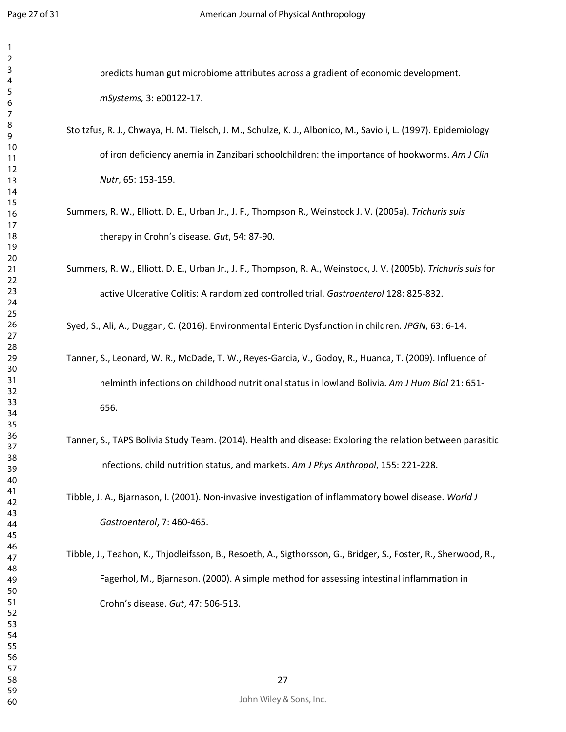| 1        |                                                                                                                 |
|----------|-----------------------------------------------------------------------------------------------------------------|
| 2<br>3   | predicts human gut microbiome attributes across a gradient of economic development.                             |
| 4        |                                                                                                                 |
| 5<br>6   | mSystems, 3: e00122-17.                                                                                         |
| 7        |                                                                                                                 |
| 8        | Stoltzfus, R. J., Chwaya, H. M. Tielsch, J. M., Schulze, K. J., Albonico, M., Savioli, L. (1997). Epidemiology  |
| 9<br>10  |                                                                                                                 |
| 11       | of iron deficiency anemia in Zanzibari schoolchildren: the importance of hookworms. Am J Clin                   |
| 12<br>13 | Nutr, 65: 153-159.                                                                                              |
| 14       |                                                                                                                 |
| 15       |                                                                                                                 |
| 16<br>17 | Summers, R. W., Elliott, D. E., Urban Jr., J. F., Thompson R., Weinstock J. V. (2005a). Trichuris suis          |
| 18       | therapy in Crohn's disease. Gut, 54: 87-90.                                                                     |
| 19       |                                                                                                                 |
| 20<br>21 | Summers, R. W., Elliott, D. E., Urban Jr., J. F., Thompson, R. A., Weinstock, J. V. (2005b). Trichuris suis for |
| 22       |                                                                                                                 |
| 23       | active Ulcerative Colitis: A randomized controlled trial. Gastroenterol 128: 825-832.                           |
| 24<br>25 |                                                                                                                 |
| 26       | Syed, S., Ali, A., Duggan, C. (2016). Environmental Enteric Dysfunction in children. JPGN, 63: 6-14.            |
| 27       |                                                                                                                 |
| 28<br>29 | Tanner, S., Leonard, W. R., McDade, T. W., Reyes-Garcia, V., Godoy, R., Huanca, T. (2009). Influence of         |
| 30       |                                                                                                                 |
| 31<br>32 | helminth infections on childhood nutritional status in lowland Bolivia. Am J Hum Biol 21: 651-                  |
| 33       | 656.                                                                                                            |
| 34       |                                                                                                                 |
| 35<br>36 |                                                                                                                 |
| 37       | Tanner, S., TAPS Bolivia Study Team. (2014). Health and disease: Exploring the relation between parasitic       |
| 38       | infections, child nutrition status, and markets. Am J Phys Anthropol, 155: 221-228.                             |
| 39<br>40 |                                                                                                                 |
| 41       | Tibble, J. A., Bjarnason, I. (2001). Non-invasive investigation of inflammatory bowel disease. World J          |
| 42<br>43 |                                                                                                                 |
| 44       | Gastroenterol, 7: 460-465.                                                                                      |
| 45       |                                                                                                                 |
| 46<br>47 | Tibble, J., Teahon, K., Thjodleifsson, B., Resoeth, A., Sigthorsson, G., Bridger, S., Foster, R., Sherwood, R., |
| 48       |                                                                                                                 |
| 49       | Fagerhol, M., Bjarnason. (2000). A simple method for assessing intestinal inflammation in                       |
| 50<br>51 | Crohn's disease. Gut, 47: 506-513.                                                                              |
| 52       |                                                                                                                 |
| 53<br>54 |                                                                                                                 |
| 55       |                                                                                                                 |
| 56       |                                                                                                                 |
| 57<br>58 | 27                                                                                                              |
|          |                                                                                                                 |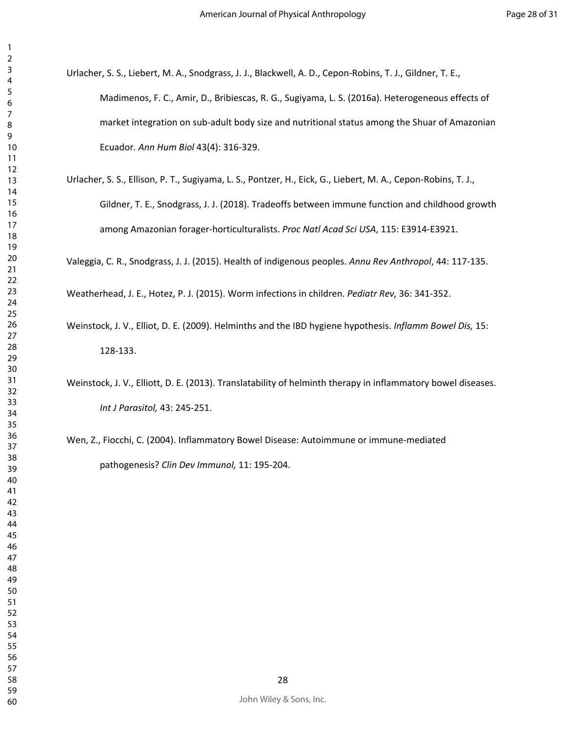- Urlacher, S. S., Liebert, M. A., Snodgrass, J. J., Blackwell, A. D., Cepon-Robins, T. J., Gildner, T. E., Madimenos, F. C., Amir, D., Bribiescas, R. G., Sugiyama, L. S. (2016a). Heterogeneous effects of market integration on sub-adult body size and nutritional status among the Shuar of Amazonian Ecuador*. Ann Hum Biol* 43(4): 316-329.
- Urlacher, S. S., Ellison, P. T., Sugiyama, L. S., Pontzer, H., Eick, G., Liebert, M. A., Cepon-Robins, T. J., Gildner, T. E., Snodgrass, J. J. (2018). Tradeoffs between immune function and childhood growth among Amazonian forager-horticulturalists. *Proc Natl Acad Sci USA*, 115: E3914-E3921.

Valeggia, C. R., Snodgrass, J. J. (2015). Health of indigenous peoples. *Annu Rev Anthropol*, 44: 117-135.

Weatherhead, J. E., Hotez, P. J. (2015). Worm infections in children. *Pediatr Rev,* 36: 341-352.

- Weinstock, J. V., Elliot, D. E. (2009). Helminths and the IBD hygiene hypothesis. *Inflamm Bowel Dis,* 15: 128-133.
- Weinstock, J. V., Elliott, D. E. (2013). Translatability of helminth therapy in inflammatory bowel diseases. *Int J Parasitol,* 43: 245-251.
- Wen, Z., Fiocchi, C. (2004). Inflammatory Bowel Disease: Autoimmune or immune-mediated pathogenesis? *Clin Dev Immunol,* 11: 195-204.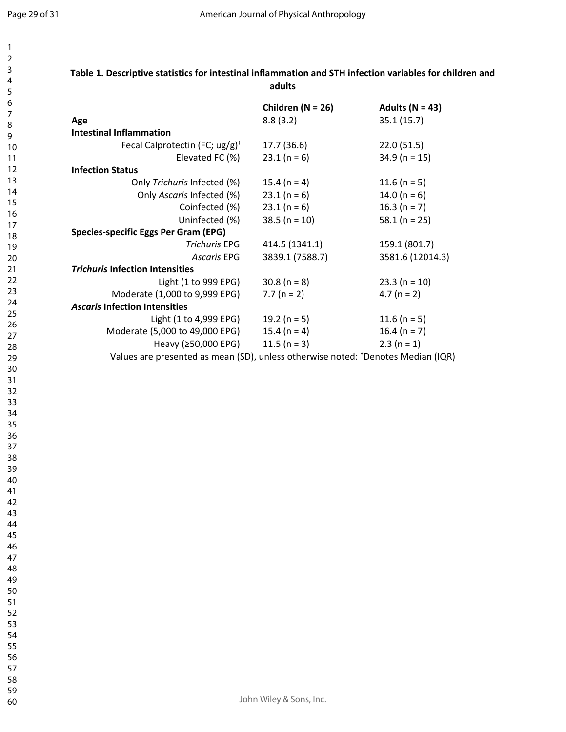|                                                      | Children ( $N = 26$ ) | Adults ( $N = 43$ ) |
|------------------------------------------------------|-----------------------|---------------------|
| Age                                                  | 8.8(3.2)              | 35.1 (15.7)         |
| <b>Intestinal Inflammation</b>                       |                       |                     |
| Fecal Calprotectin (FC; $\frac{u}{g}$ ) <sup>+</sup> | 17.7 (36.6)           | 22.0(51.5)          |
| Elevated FC (%)                                      | $23.1(n = 6)$         | $34.9$ (n = 15)     |
| <b>Infection Status</b>                              |                       |                     |
| Only Trichuris Infected (%)                          | 15.4 ( $n = 4$ )      | 11.6 (n = 5)        |
| Only Ascaris Infected (%)                            | $23.1(n = 6)$         | 14.0 ( $n = 6$ )    |
| Coinfected (%)                                       | $23.1(n = 6)$         | 16.3 ( $n = 7$ )    |
| Uninfected (%)                                       | $38.5 (n = 10)$       | 58.1 ( $n = 25$ )   |
| Species-specific Eggs Per Gram (EPG)                 |                       |                     |
| <b>Trichuris EPG</b>                                 | 414.5 (1341.1)        | 159.1 (801.7)       |
| Ascaris EPG                                          | 3839.1 (7588.7)       | 3581.6 (12014.3)    |
| <b>Trichuris Infection Intensities</b>               |                       |                     |
| Light (1 to 999 EPG)                                 | $30.8(n = 8)$         | $23.3(n = 10)$      |
| Moderate (1,000 to 9,999 EPG)                        | $7.7 (n = 2)$         | $4.7 (n = 2)$       |
| <b>Ascaris Infection Intensities</b>                 |                       |                     |
| Light (1 to 4,999 EPG)                               | 19.2 ( $n = 5$ )      | 11.6 (n = 5)        |
| Moderate (5,000 to 49,000 EPG)                       | 15.4 ( $n = 4$ )      | 16.4 ( $n = 7$ )    |
| Heavy (≥50,000 EPG)                                  | 11.5 ( $n = 3$ )      | $2.3(n = 1)$        |

**Table 1. Descriptive statistics for intestinal inflammation and STH infection variables for children and adults**

Values are presented as mean (SD), unless otherwise noted: †Denotes Median (IQR)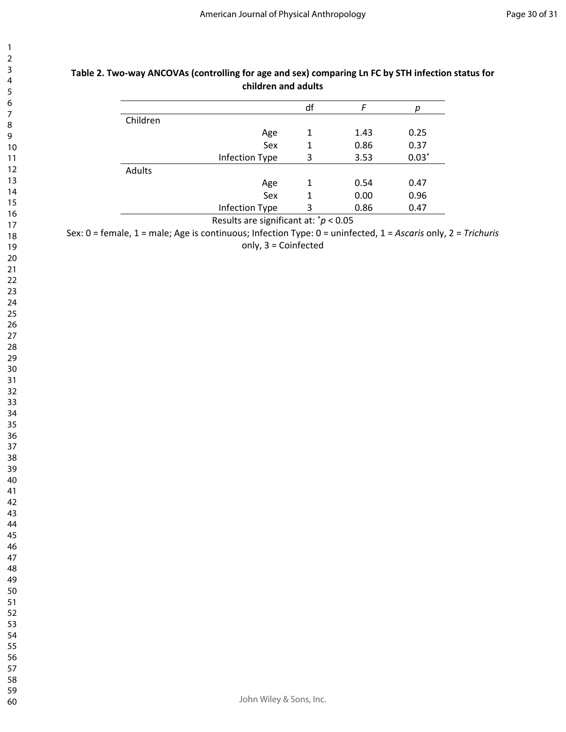|          |                | df |      | р       |
|----------|----------------|----|------|---------|
| Children |                |    |      |         |
|          | Age            | 1  | 1.43 | 0.25    |
|          | Sex            |    | 0.86 | 0.37    |
|          | Infection Type | 3  | 3.53 | $0.03*$ |
| Adults   |                |    |      |         |
|          | Age            | 1  | 0.54 | 0.47    |
|          | Sex            |    | 0.00 | 0.96    |
|          | Infection Type | 3  | 0.86 | 0.47    |

### **Table 2. Two-way ANCOVAs (controlling for age and sex) comparing Ln FC by STH infection status for children and adults**

Results are significant at: \**p* < 0.05

Sex: 0 = female, 1 = male; Age is continuous; Infection Type: 0 = uninfected, 1 = *Ascaris* only, 2 = *Trichuris*  only, 3 = Coinfected